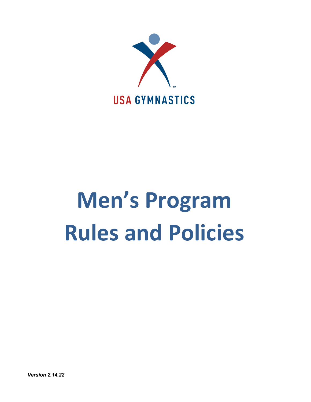

# **Men's Program Rules and Policies**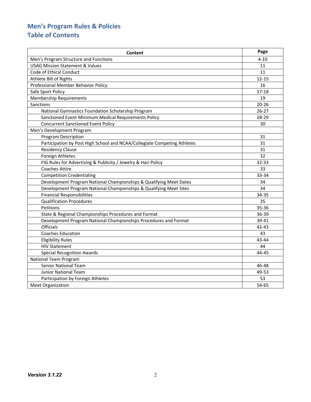# **Men's Program Rules & Policies Table of Contents**

| Content                                                                  | Page      |
|--------------------------------------------------------------------------|-----------|
| Men's Program Structure and Functions                                    | $4 - 10$  |
| <b>USAG Mission Statement &amp; Values</b>                               | 11        |
| Code of Ethical Conduct                                                  | 11        |
| Athlete Bill of Rights                                                   | $12 - 15$ |
| Professional Member Behavior Policy                                      | 16        |
| Safe Sport Policy                                                        | $17 - 18$ |
| <b>Membership Requirements</b>                                           | 19        |
| <b>Sanctions</b>                                                         | $20 - 26$ |
| National Gymnastics Foundation Scholarship Program                       | $26 - 27$ |
| Sanctioned Event Minimum Medical Requirements Policy                     | 28-29     |
| <b>Concurrent Sanctioned Event Policy</b>                                | 30        |
| Men's Development Program                                                |           |
| <b>Program Description</b>                                               | 31        |
| Participation by Post High School and NCAA/Collegiate Competing Athletes | 31        |
| <b>Residency Clause</b>                                                  | 31        |
| Foreign Athletes                                                         | 32        |
| FIG Rules for Advertising & Publicity / Jewelry & Hair Policy            | 32-33     |
| <b>Coaches Attire</b>                                                    | 33        |
| <b>Competition Credentialing</b>                                         | 33-34     |
| Development Program National Championships & Qualifying Meet Dates       | 34        |
| Development Program National Championships & Qualifying Meet Sites       | 34        |
| <b>Financial Responsibilities</b>                                        | 34-35     |
| <b>Qualification Procedures</b>                                          | 35        |
| Petitions                                                                | 35-36     |
| State & Regional Championships Procedures and Format                     | 36-39     |
| Development Program National Championships Procedures and Format         | 39-41     |
| <b>Officials</b>                                                         | 42-43     |
| <b>Coaches Education</b>                                                 | 43        |
| <b>Eligibility Rules</b>                                                 | 43-44     |
| <b>HIV Statement</b>                                                     | 44        |
| <b>Special Recognition Awards</b>                                        | 44-45     |
| <b>National Team Program</b>                                             |           |
| <b>Senior National Team</b>                                              | 46-48     |
| <b>Junior National Team</b>                                              | 49-53     |
| Participation by Foreign Athletes                                        | 53        |
| <b>Meet Organization</b>                                                 | 54-65     |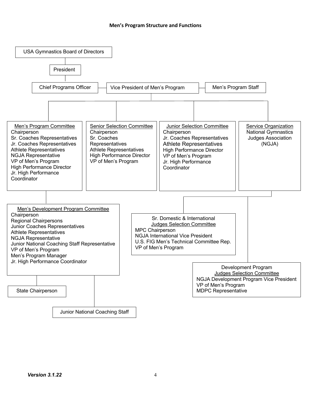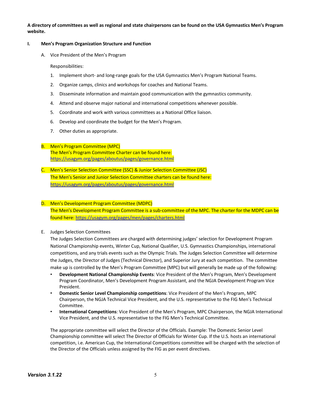**A directory of committees as well as regional and state chairpersons can be found on the USA Gymnastics Men's Program website.** 

#### **I. Men's Program Organization Structure and Function**

A. Vice President of the Men's Program

#### Responsibilities:

- 1. Implement short- and long-range goals for the USA Gymnastics Men's Program National Teams.
- 2. Organize camps, clinics and workshops for coaches and National Teams.
- 3. Disseminate information and maintain good communication with the gymnastics community.
- 4. Attend and observe major national and international competitions whenever possible.
- 5. Coordinate and work with various committees as a National Office liaison.
- 6. Develop and coordinate the budget for the Men's Program.
- 7. Other duties as appropriate.

# B. Men's Program Committee (MPC)

The Men's Program Committee Charter can be found here: https://usagym.org/pages/aboutus/pages/governance.html

C. Men's Senior Selection Committee (SSC) & Junior Selection Committee (JSC) The Men's Senior and Junior Selection Committee charters can be found here: https://usagym.org/pages/aboutus/pages/governance.html

# D. Men's Development Program Committee (MDPC)

The Men's Development Program Committee is a sub-committee of the MPC. The charter for the MDPC can be found here: https://usagym.org/pages/men/pages/charters.html

# E. Judges Selection Committees

The Judges Selection Committees are charged with determining judges' selection for Development Program National Championship events, Winter Cup, National Qualifier, U.S. Gymnastics Championships, international competitions, and any trials events such as the Olympic Trials. The Judges Selection Committee will determine the Judges, the Director of Judges (Technical Director), and Superior Jury at each competition. The committee make up is controlled by the Men's Program Committee (MPC) but will generally be made up of the following:

- **Development National Championship Events**: Vice President of the Men's Program, Men's Development Program Coordinator, Men's Development Program Assistant, and the NGJA Development Program Vice President.
- **Domestic Senior Level Championship competitions**: Vice President of the Men's Program, MPC Chairperson, the NGJA Technical Vice President, and the U.S. representative to the FIG Men's Technical Committee.
- **International Competitions**: Vice President of the Men's Program, MPC Chairperson, the NGJA International Vice President, and the U.S. representative to the FIG Men's Technical Committee.

The appropriate committee will select the Director of the Officials. Example: The Domestic Senior Level Championship committee will select The Director of Officials for Winter Cup. If the U.S. hosts an international competition, i.e. American Cup, the International Competitions committee will be charged with the selection of the Director of the Officials unless assigned by the FIG as per event directives.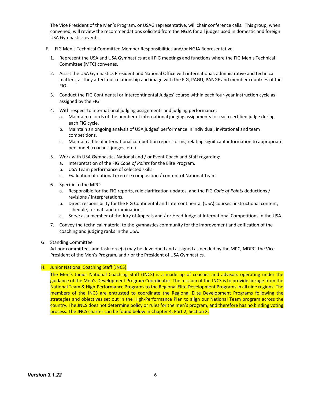The Vice President of the Men's Program, or USAG representative, will chair conference calls. This group, when convened, will review the recommendations solicited from the NGJA for all judges used in domestic and foreign USA Gymnastics events.

- F. FIG Men's Technical Committee Member Responsibilities and/or NGJA Representative
	- 1. Represent the USA and USA Gymnastics at all FIG meetings and functions where the FIG Men's Technical Committee (MTC) convenes.
	- 2. Assist the USA Gymnastics President and National Office with international, administrative and technical matters, as they affect our relationship and image with the FIG, PAGU, PANGF and member countries of the FIG.
	- 3. Conduct the FIG Continental or Intercontinental Judges' course within each four-year instruction cycle as assigned by the FIG.
	- 4. With respect to international judging assignments and judging performance:
		- a. Maintain records of the number of international judging assignments for each certified judge during each FIG cycle.
		- b. Maintain an ongoing analysis of USA judges' performance in individual, invitational and team competitions.
		- c. Maintain a file of international competition report forms, relating significant information to appropriate personnel (coaches, judges, etc.).
	- 5. Work with USA Gymnastics National and / or Event Coach and Staff regarding:
		- a. Interpretation of the FIG *Code of Points* for the Elite Program.
		- b. USA Team performance of selected skills.
		- c. Evaluation of optional exercise composition / content of National Team.
	- 6. Specific to the MPC:
		- a. Responsible for the FIG reports, rule clarification updates, and the FIG *Code of Points* deductions / revisions / interpretations.
		- b. Direct responsibility for the FIG Continental and Intercontinental (USA) courses: instructional content, schedule, format, and examinations.
		- c. Serve as a member of the Jury of Appeals and / or Head Judge at International Competitions in the USA.
	- 7. Convey the technical material to the gymnastics community for the improvement and edification of the coaching and judging ranks in the USA.
- G. Standing Committee

Ad-hoc committees and task force(s) may be developed and assigned as needed by the MPC, MDPC, the Vice President of the Men's Program, and / or the President of USA Gymnastics.

#### H. Junior National Coaching Staff (JNCS)

The Men's Junior National Coaching Staff (JNCS) is a made up of coaches and advisors operating under the guidance of the Men's Development Program Coordinator. The mission of the JNCS is to provide linkage from the National Team & High-Performance Programs to the Regional Elite Development Programs in all nine regions. The members of the JNCS are entrusted to coordinate the Regional Elite Development Programs following the strategies and objectives set out in the High-Performance Plan to align our National Team program across the country. The JNCS does not determine policy or rules for the men's program, and therefore has no binding voting process. The JNCS charter can be found below in Chapter 4, Part 2, Section X.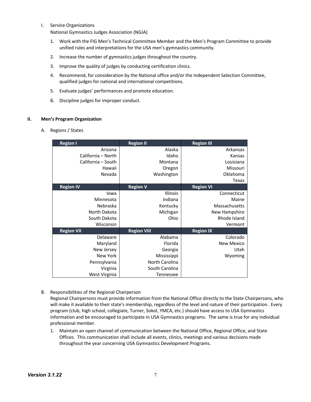I. Service Organizations

National Gymnastics Judges Association (NGJA)

- 1. Work with the FIG Men's Technical Committee Member and the Men's Program Committee to provide unified rules and interpretations for the USA men's gymnastics community.
- 2. Increase the number of gymnastics judges throughout the country.
- 3. Improve the quality of judges by conducting certification clinics.
- 4. Recommend, for consideration by the National office and/or the Independent Selection Committee, qualified judges for national and international competitions.
- 5. Evaluate judges' performances and promote education.
- 6. Discipline judges for improper conduct.

# **II. Men's Program Organization**

A. Regions / States

| <b>Region I</b>    | <b>Region II</b>   | <b>Region III</b> |
|--------------------|--------------------|-------------------|
| Arizona            | Alaska             | Arkansas          |
| California - North | Idaho              | Kansas            |
| California – South | Montana            | Louisiana         |
| Hawaii             | Oregon             | Missouri          |
| Nevada             | Washington         | Oklahoma          |
|                    |                    | Texas             |
| <b>Region IV</b>   | <b>Region V</b>    | <b>Region VI</b>  |
| lowa               | <b>Illinois</b>    | Connecticut       |
| Minnesota          | Indiana            | Maine             |
| Nebraska           | Kentucky           | Massachusetts     |
| North Dakota       | Michigan           | New Hampshire     |
| South Dakota       | Ohio               | Rhode Island      |
| Wisconsin          |                    | Vermont           |
| <b>Region VII</b>  | <b>Region VIII</b> | <b>Region IX</b>  |
| Delaware           | Alabama            | Colorado          |
| Maryland           | Florida            | <b>New Mexico</b> |
| New Jersey         | Georgia            | Utah              |
| New York           | Mississippi        | Wyoming           |
| Pennsylvania       | North Carolina     |                   |
| Virginia           | South Carolina     |                   |
| West Virginia      | Tennessee          |                   |

B. Responsibilities of the Regional Chairperson

Regional Chairpersons must provide information from the National Office directly to the State Chairpersons, who will make it available to their state's membership, regardless of the level and nature of their participation. Every program (club, high school, collegiate, Turner, Sokol, YMCA, etc.) should have access to USA Gymnastics information and be encouraged to participate in USA Gymnastics programs. The same is true for any individual professional member.

1. Maintain an open channel of communication between the National Office, Regional Office, and State Offices. This communication shall include all events, clinics, meetings and various decisions made throughout the year concerning USA Gymnastics Development Programs.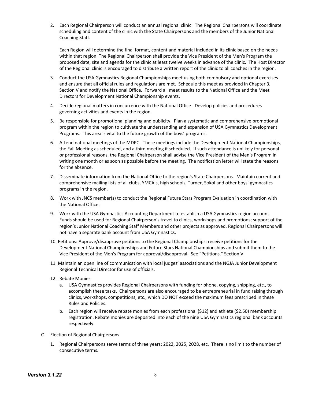2. Each Regional Chairperson will conduct an annual regional clinic. The Regional Chairpersons will coordinate scheduling and content of the clinic with the State Chairpersons and the members of the Junior National Coaching Staff.

Each Region will determine the final format, content and material included in its clinic based on the needs within that region. The Regional Chairperson shall provide the Vice President of the Men's Program the proposed date, site and agenda for the clinic at least twelve weeks in advance of the clinic. The Host Director of the Regional clinic is encouraged to distribute a written report of the clinic to all coaches in the region.

- 3. Conduct the USA Gymnastics Regional Championships meet using both compulsory and optional exercises and ensure that all official rules and regulations are met. Schedule this meet as provided in Chapter 3, Section V and notify the National Office. Forward all meet results to the National Office and the Meet Directors for Development National Championship events.
- 4. Decide regional matters in concurrence with the National Office. Develop policies and procedures governing activities and events in the region.
- 5. Be responsible for promotional planning and publicity. Plan a systematic and comprehensive promotional program within the region to cultivate the understanding and expansion of USA Gymnastics Development Programs. This area is vital to the future growth of the boys' programs.
- 6. Attend national meetings of the MDPC. These meetings include the Development National Championships, the Fall Meeting as scheduled, and a third meeting if scheduled. If such attendance is unlikely for personal or professional reasons, the Regional Chairperson shall advise the Vice President of the Men's Program in writing one month or as soon as possible before the meeting. The notification letter will state the reasons for the absence.
- 7. Disseminate information from the National Office to the region's State Chairpersons. Maintain current and comprehensive mailing lists of all clubs, YMCA's, high schools, Turner, Sokol and other boys' gymnastics programs in the region.
- 8. Work with JNCS member(s) to conduct the Regional Future Stars Program Evaluation in coordination with the National Office.
- 9. Work with the USA Gymnastics Accounting Department to establish a USA Gymnastics region account. Funds should be used for Regional Chairperson's travel to clinics, workshops and promotions; support of the region's Junior National Coaching Staff Members and other projects as approved. Regional Chairpersons will not have a separate bank account from USA Gymnastics.
- 10. Petitions: Approve/disapprove petitions to the Regional Championships; receive petitions for the Development National Championships and Future Stars National Championships and submit them to the Vice President of the Men's Program for approval/disapproval. See "Petitions," Section V.
- 11. Maintain an open line of communication with local judges' associations and the NGJA Junior Development Regional Technical Director for use of officials.
- 12. Rebate Monies
	- a. USA Gymnastics provides Regional Chairpersons with funding for phone, copying, shipping, etc., to accomplish these tasks. Chairpersons are also encouraged to be entrepreneurial in fund raising through clinics, workshops, competitions, etc., which DO NOT exceed the maximum fees prescribed in these Rules and Policies.
	- b. Each region will receive rebate monies from each professional (\$12) and athlete (\$2.50) membership registration. Rebate monies are deposited into each of the nine USA Gymnastics regional bank accounts respectively.
- C. Election of Regional Chairpersons
	- 1. Regional Chairpersons serve terms of three years: 2022, 2025, 2028, etc. There is no limit to the number of consecutive terms.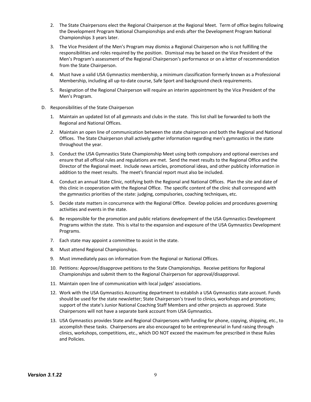- 2. The State Chairpersons elect the Regional Chairperson at the Regional Meet. Term of office begins following the Development Program National Championships and ends after the Development Program National Championships 3 years later.
- 3. The Vice President of the Men's Program may dismiss a Regional Chairperson who is not fulfilling the responsibilities and roles required by the position. Dismissal may be based on the Vice President of the Men's Program's assessment of the Regional Chairperson's performance or on a letter of recommendation from the State Chairperson.
- 4. Must have a valid USA Gymnastics membership, a minimum classification formerly known as a Professional Membership, including all up-to-date course, Safe Sport and background check requirements.
- 5. Resignation of the Regional Chairperson will require an interim appointment by the Vice President of the Men's Program.
- D. Responsibilities of the State Chairperson
	- 1. Maintain an updated list of all gymnasts and clubs in the state. This list shall be forwarded to both the Regional and National Offices.
	- *2.* Maintain an open line of communication between the state chairperson and both the Regional and National Offices. The State Chairperson shall actively gather information regarding men's gymnastics in the state throughout the year.
	- 3. Conduct the USA Gymnastics State Championship Meet using both compulsory and optional exercises and ensure that all official rules and regulations are met. Send the meet results to the Regional Office and the Director of the Regional meet. Include news articles, promotional ideas, and other publicity information in addition to the meet results. The meet's financial report must also be included.
	- 4. Conduct an annual State Clinic, notifying both the Regional and National Offices. Plan the site and date of this clinic in cooperation with the Regional Office. The specific content of the clinic shall correspond with the gymnastics priorities of the state: judging, compulsories, coaching techniques, etc.
	- 5. Decide state matters in concurrence with the Regional Office. Develop policies and procedures governing activities and events in the state.
	- 6. Be responsible for the promotion and public relations development of the USA Gymnastics Development Programs within the state. This is vital to the expansion and exposure of the USA Gymnastics Development Programs.
	- 7. Each state may appoint a committee to assist in the state.
	- 8. Must attend Regional Championships.
	- 9. Must immediately pass on information from the Regional or National Offices.
	- 10. Petitions: Approve/disapprove petitions to the State Championships. Receive petitions for Regional Championships and submit them to the Regional Chairperson for approval/disapproval.
	- 11. Maintain open line of communication with local judges' associations.
	- 12. Work with the USA Gymnastics Accounting department to establish a USA Gymnastics state account. Funds should be used for the state newsletter; State Chairperson's travel to clinics, workshops and promotions; support of the state's Junior National Coaching Staff Members and other projects as approved. State Chairpersons will not have a separate bank account from USA Gymnastics.
	- 13. USA Gymnastics provides State and Regional Chairpersons with funding for phone, copying, shipping, etc., to accomplish these tasks. Chairpersons are also encouraged to be entrepreneurial in fund raising through clinics, workshops, competitions, etc., which DO NOT exceed the maximum fee prescribed in these Rules and Policies.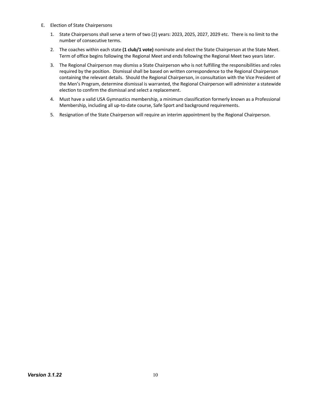- E. Election of State Chairpersons
	- 1. State Chairpersons shall serve a term of two (2) years: 2023, 2025, 2027, 2029 etc. There is no limit to the number of consecutive terms.
	- 2. The coaches within each state **(1 club/1 vote)** nominate and elect the State Chairperson at the State Meet. Term of office begins following the Regional Meet and ends following the Regional Meet two years later.
	- 3. The Regional Chairperson may dismiss a State Chairperson who is not fulfilling the responsibilities and roles required by the position. Dismissal shall be based on written correspondence to the Regional Chairperson containing the relevant details. Should the Regional Chairperson, in consultation with the Vice President of the Men's Program, determine dismissal is warranted, the Regional Chairperson will administer a statewide election to confirm the dismissal and select a replacement.
	- 4. Must have a valid USA Gymnastics membership, a minimum classification formerly known as a Professional Membership, including all up-to-date course, Safe Sport and background requirements.
	- 5. Resignation of the State Chairperson will require an interim appointment by the Regional Chairperson.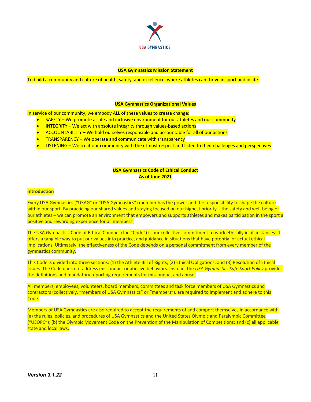

#### **USA Gymnastics Mission Statement**

To build a community and culture of health, safety, and excellence, where athletes can thrive in sport and in life.

#### **USA Gymnastics Organizational Values**

In service of our community, we embody ALL of these values to create change:

- SAFETY We promote a safe and inclusive environment for our athletes and our community
- INTEGRITY We act with absolute integrity through values-based actions
- ACCOUNTABILITY We hold ourselves responsible and accountable for all of our actions
- TRANSPARENCY We operate and communicate with transparency
- LISTENING We treat our community with the utmost respect and listen to their challenges and perspectives

# **USA Gymnastics Code of Ethical Conduct As of June 2021**

#### **Introduction**

Every USA Gymnastics ("USAG" or "USA Gymnastics") member has the power and the responsibility to shape the culture within our sport. By practicing our shared values and staying focused on our highest priority – the safety and well-being of our athletes – we can promote an environment that empowers and supports athletes and makes participation in the sport a positive and rewarding experience for all members.

The USA Gymnastics Code of Ethical Conduct (the "Code") is our collective commitment to work ethically in all instances. It offers a tangible way to put our values into practice, and guidance in situations that have potential or actual ethical implications. Ultimately, the effectiveness of the Code depends on a personal commitment from every member of the gymnastics community.

This Code is divided into three sections: (1) the Athlete Bill of Rights; (2) Ethical Obligations; and (3) Resolution of Ethical Issues. The Code does not address misconduct or abusive behaviors. Instead, the *USA Gymnastics Safe Sport Policy* provides the definitions and mandatory reporting requirements for misconduct and abuse.

All members, employees, volunteers, board members, committees and task force members of USA Gymnastics and contractors (collectively, "members of USA Gymnastics" or "members"), are required to implement and adhere to this Code.

Members of USA Gymnastics are also required to accept the requirements of and comport themselves in accordance with (a) the rules, policies, and procedures of USA Gymnastics and the United States Olympic and Paralympic Committee ("USOPC"); (b) the Olympic Movement Code on the Prevention of the Manipulation of Competitions; and (c) all applicable state and local laws.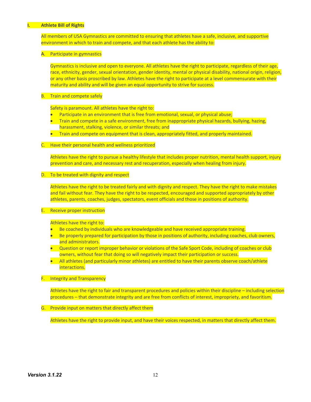#### **I. Athlete Bill of Rights**

All members of USA Gymnastics are committed to ensuring that athletes have a safe, inclusive, and supportive environment in which to train and compete, and that each athlete has the ability to:

#### A. Participate in gymnastics

Gymnastics is inclusive and open to everyone. All athletes have the right to participate, regardless of their age, race, ethnicity, gender, sexual orientation, gender identity, mental or physical disability, national origin, religion, or any other basis proscribed by law. Athletes have the right to participate at a level commensurate with their maturity and ability and will be given an equal opportunity to strive for success.

#### **B.** Train and compete safely

Safety is paramount. All athletes have the right to:

- Participate in an environment that is free from emotional, sexual, or physical abuse;
- Train and compete in a safe environment, free from inappropriate physical hazards, bullying, hazing, harassment, stalking, violence, or similar threats; and
- Train and compete on equipment that is clean, appropriately fitted, and properly maintained.

#### C. Have their personal health and wellness prioritized

Athletes have the right to pursue a healthy lifestyle that includes proper nutrition, mental health support, injury prevention and care, and necessary rest and recuperation, especially when healing from injury.

#### D. To be treated with dignity and respect

Athletes have the right to be treated fairly and with dignity and respect. They have the right to make mistakes and fail without fear. They have the right to be respected, encouraged and supported appropriately by other athletes, parents, coaches, judges, spectators, event officials and those in positions of authority.

#### E. Receive proper instruction

Athletes have the right to:

- Be coached by individuals who are knowledgeable and have received appropriate training.
- Be properly prepared for participation by those in positions of authority, including coaches, club owners, and administrators.
- Question or report improper behavior or violations of the Safe Sport Code, including of coaches or club owners, without fear that doing so will negatively impact their participation or success.
- All athletes (and particularly minor athletes) are entitled to have their parents observe coach/athlete interactions.

# F. Integrity and Transparency

Athletes have the right to fair and transparent procedures and policies within their discipline – including selection procedures – that demonstrate integrity and are free from conflicts of interest, impropriety, and favoritism.

# G. Provide input on matters that directly affect them

Athletes have the right to provide input, and have their voices respected, in matters that directly affect them.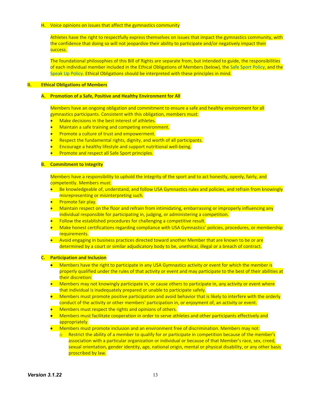#### H. Voice opinions on issues that affect the gymnastics community

Athletes have the right to respectfully express themselves on issues that impact the gymnastics community, with the confidence that doing so will not jeopardize their ability to participate and/or negatively impact their success.

The foundational philosophies of this Bill of Rights are separate from, but intended to guide, the responsibilities of each individual member included in the Ethical Obligations of Members (below), the Safe Sport Policy, and the Speak Up Policy. Ethical Obligations should be interpreted with these principles in mind.

# **II. Ethical Obligations of Members**

#### **A. Promotion of a Safe, Positive and Healthy Environment for All**

Members have an ongoing obligation and commitment to ensure a safe and healthy environment for all gymnastics participants. Consistent with this obligation, members must:

- Make decisions in the best interest of athletes.
- Maintain a safe training and competing environment.
- Promote a culture of trust and empowerment.
- Respect the fundamental rights, dignity, and worth of all participants.
- Encourage a healthy lifestyle and support nutritional well-being.
- Promote and respect all Safe Sport principles.

#### **B. Commitment to Integrity**

Members have a responsibility to uphold the integrity of the sport and to act honestly, openly, fairly, and competently. Members must:

- Be knowledgeable of, understand, and follow USA Gymnastics rules and policies, and refrain from knowingly misrepresenting or misinterpreting such.
- Promote fair play.
- Maintain respect on the floor and refrain from intimidating, embarrassing or improperly influencing any individual responsible for participating in, judging, or administering a competition.
- Follow the established procedures for challenging a competitive result.
- Make honest certifications regarding compliance with USA Gymnastics' policies, procedures, or membership requirements.
- Avoid engaging in business practices directed toward another Member that are known to be or are determined by a court or similar adjudicatory body to be, unethical, illegal or a breach of contract.

#### **C. Participation and Inclusion**

- Members have the right to participate in any USA Gymnastics activity or event for which the member is properly qualified under the rules of that activity or event and may participate to the best of their abilities at their discretion:
- Members may not knowingly participate in, or cause others to participate in, any activity or event where that individual is inadequately prepared or unable to participate safely.
- Members must promote positive participation and avoid behavior that is likely to interfere with the orderly conduct of the activity or other members' participation in, or enjoyment of, an activity or event.
- Members must respect the rights and opinions of others.
- Members must facilitate cooperation in order to serve athletes and other participants effectively and appropriately.
- Members must promote inclusion and an environment free of discrimination. Members may not:
	- o Restrict the ability of a member to qualify for or participate in competition because of the member's association with a particular organization or individual or because of that Member's race, sex, creed, sexual orientation, gender identity, age, national origin, mental or physical disability, or any other basis proscribed by law.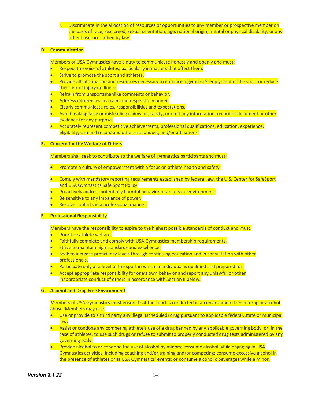$\circ$  Discriminate in the allocation of resources or opportunities to any member or prospective member on the basis of race, sex, creed, sexual orientation, age, national origin, mental or physical disability, or any other basis proscribed by law.

#### **D. Communication**

Members of USA Gymnastics have a duty to communicate honestly and openly and must:

- Respect the voice of athletes, particularly in matters that affect them.
- Strive to promote the sport and athletes.
- Provide all information and resources necessary to enhance a gymnast's enjoyment of the sport or reduce their risk of injury or illness.
- Refrain from unsportsmanlike comments or behavior.
- Address differences in a calm and respectful manner.
- Clearly communicate roles, responsibilities and expectations.
- Avoid making false or misleading claims; or, falsify, or omit any information, record or document or other evidence for any purpose.
- Accurately represent competitive achievements, professional qualifications, education, experience, eligibility, criminal record and other misconduct, and/or affiliations.

#### **E. Concern for the Welfare of Others**

Members shall seek to contribute to the welfare of gymnastics participants and must:

- Promote a culture of empowerment with a focus on athlete health and safety.
- Comply with mandatory reporting requirements established by federal law, the U.S. Center for SafeSport and USA Gymnastics Safe Sport Policy.
- Proactively address potentially harmful behavior or an unsafe environment.
- Be sensitive to any imbalance of power.
- Resolve conflicts in a professional manner.

#### **F. Professional Responsibility**

Members have the responsibility to aspire to the highest possible standards of conduct and must:

- Prioritize athlete welfare.
- Faithfully complete and comply with USA Gymnastics membership requirements.
- Strive to maintain high standards and excellence.
- Seek to increase proficiency levels through continuing education and in consultation with other professionals.
- Participate only at a level of the sport in which an individual is qualified and prepared for.
- Accept appropriate responsibility for one's own behavior and report any unlawful or other inappropriate conduct of others in accordance with Section II below.

# **G. Alcohol and Drug Free Environment**

Members of USA Gymnastics must ensure that the sport is conducted in an environment free of drug or alcohol abuse. Members may not:

- Use or provide to a third party any illegal (scheduled) drug pursuant to applicable federal, state or municipal law.
- Assist or condone any competing athlete's use of a drug banned by any applicable governing body, or, in the case of athletes, to use such drugs or refuse to submit to properly conducted drug tests administered by any governing body.
- Provide alcohol to or condone the use of alcohol by minors; consume alcohol while engaging in USA Gymnastics activities, including coaching and/or training and/or competing; consume excessive alcohol in the presence of athletes or at USA Gymnastics' events; or consume alcoholic beverages while a minor.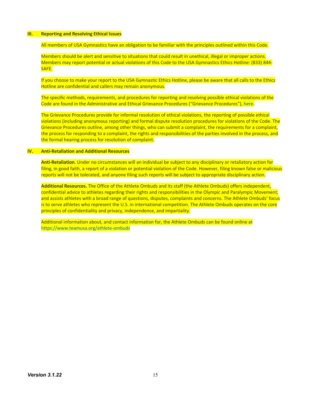#### **III. Reporting and Resolving Ethical Issues**

All members of USA Gymnastics have an obligation to be familiar with the principles outlined within this Code.

Members should be alert and sensitive to situations that could result in unethical, illegal or improper actions. Members may report potential or actual violations of this Code to the USA Gymnastics Ethics Hotline: (833) 844- SAFE.

If you choose to make your report to the USA Gymnastic Ethics Hotline, please be aware that all calls to the Ethics Hotline are confidential and callers may remain anonymous.

The specific methods, requirements, and procedures for reporting and resolving possible ethical violations of the Code are found in the Administrative and Ethical Grievance Procedures ("Grievance Procedures"), here.

The Grievance Procedures provide for informal resolution of ethical violations, the reporting of possible ethical violations (including anonymous reporting) and formal dispute resolution procedures for violations of the Code. The Grievance Procedures outline, among other things, who can submit a complaint, the requirements for a complaint, the process for responding to a complaint, the rights and responsibilities of the parties involved in the process, and the formal hearing process for resolution of complaint.

# **IV. Anti-Retaliation and Additional Resources**

**Anti-Retaliation**. Under no circumstances will an individual be subject to any disciplinary or retaliatory action for filing, in good faith, a report of a violation or potential violation of the Code. However, filing known false or malicious reports will not be tolerated, and anyone filing such reports will be subject to appropriate disciplinary action.

**Additional Resources.** The Office of the Athlete Ombuds and its staff (the Athlete Ombuds) offers independent, confidential advice to athletes regarding their rights and responsibilities in the Olympic and Paralympic Movement, and assists athletes with a broad range of questions, disputes, complaints and concerns. The Athlete Ombuds' focus is to serve athletes who represent the U.S. in international competition. The Athlete Ombuds operates on the core principles of confidentiality and privacy, independence, and impartiality.

Additional information about, and contact information for, the Athlete Ombuds can be found online at https://www.teamusa.org/athlete-ombuds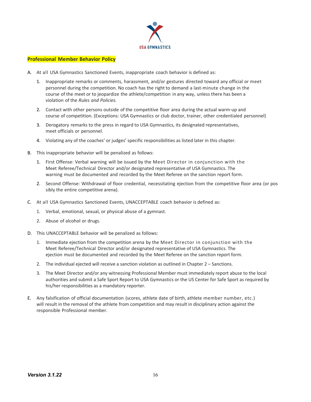

# **Professional Member Behavior Policy**

- A. At all USA Gymnastics Sanctioned Events, inappropriate coach behavior is defined as:
	- 1. Inappropriate remarks or comments, harassment, and/or gestures directed toward any official or meet personnel during the competition. No coach has the right to demand a last-minute change in the course of the meet or to jeopardize the athlete/competition in any way, unless there has been a violation of the *Rules and Policies.*
	- 2. Contact with other persons outside of the competitive floor area during the actual warm-up and course of competition. (Exceptions: USA Gymnastics or club doctor, trainer, other credentialed personnel)
	- 3. Derogatory remarks to the press in regard to USA Gymnastics, its designated representatives, meet officials or personnel.
	- 4. Violating any of the coaches' or judges' specific responsibilities as listed later in this chapter.
- B. This inappropriate behavior will be penalized as follows:
	- 1. First Offense: Verbal warning will be issued by the Meet Director in conjunction with the Meet Referee/Technical Director and/or designated representative of USA Gymnastics. The warning must be documented and recorded by the Meet Referee on the sanction report form.
	- 2. Second Offense: Withdrawal of floor credential, necessitating ejection from the competitive floor area (or pos sibly the entire competitive arena).
- C. At all USA Gymnastics Sanctioned Events, UNACCEPTABLE coach behavior is defined as:
	- 1. Verbal, emotional, sexual, or physical abuse of a gymnast.
	- 2. Abuse of alcohol or drugs.
- D. This UNACCEPTABLE behavior will be penalized as follows:
	- 1. Immediate ejection from the competition arena by the Meet Director in conjunction with the Meet Referee/Technical Director and/or designated representative of USA Gymnastics. The ejection must be documented and recorded by the Meet Referee on the sanction report form.
	- 2. The individual ejected will receive a sanction violation as outlined in Chapter 2 Sanctions.
	- 3. The Meet Director and/or any witnessing Professional Member must immediately report abuse to the local authorities and submit a Safe Sport Report to USA Gymnastics or the US Center for Safe Sport as required by his/her responsibilities as a mandatory reporter.
- E. Any falsification of official documentation (scores, athlete date of birth, athlete member number, etc.) will result in the removal of the athlete from competition and may result in disciplinary action against the responsible Professional member.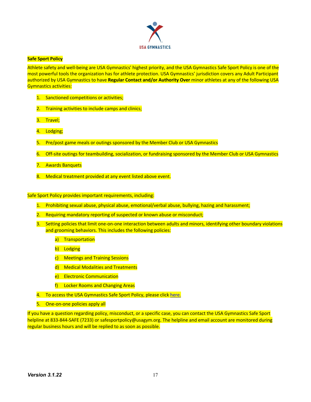

#### **Safe Sport Policy**

Athlete safety and well-being are USA Gymnastics' highest priority, and the USA Gymnastics Safe Sport Policy is one of the most powerful tools the organization has for athlete protection. USA Gymnastics' jurisdiction covers any Adult Participant authorized by USA Gymnastics to have **Regular Contact and/or Authority Over** minor athletes at any of the following USA Gymnastics activities:

- 1. Sanctioned competitions or activities;
- 2. Training activities to include camps and clinics;
- 3. Travel;
- 4. Lodging;
- 5. Pre/post game meals or outings sponsored by the Member Club or USA Gymnastics
- 6. Off-site outings for teambuilding, socialization, or fundraising sponsored by the Member Club or USA Gymnastics
- 7. Awards Banquets
- 8. Medical treatment provided at any event listed above event.

Safe Sport Policy provides important requirements, including:

- 1. Prohibiting sexual abuse, physical abuse, emotional/verbal abuse, bullying, hazing and harassment;
- 2. Requiring mandatory reporting of suspected or known abuse or misconduct;
- 3. Setting policies that limit one-on-one interaction between adults and minors, identifying other boundary violations and grooming behaviors. This includes the following policies:
	- a) Transportation
	- b) Lodging
	- c) Meetings and Training Sessions
	- d) Medical Modalities and Treatments
	- e) Electronic Communication
	- f) Locker Rooms and Changing Areas
- 4. To access the USA Gymnastics Safe Sport Policy, please click here.
- 5. One-on-one policies apply all

If you have a question regarding policy, misconduct, or a specific case, you can contact the USA Gymnastics Safe Sport helpline at 833-844-SAFE (7233) or safesportpolicy@usagym.org. The helpline and email account are monitored during regular business hours and will be replied to as soon as possible.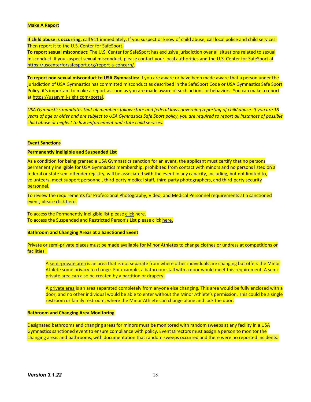#### **Make A Report**

**If child abuse is occurring,** call 911 immediately. If you suspect or know of child abuse, call local police and child services. Then report it to the U.S. Center for SafeSport.

**To report sexual misconduct:** The U.S. Center for SafeSport has exclusive jurisdiction over all situations related to sexual misconduct. If you suspect sexual misconduct, please contact your local authorities and the U.S. Center for SafeSport at https://uscenterforsafesport.org/report-a-concern/.

**To report non-sexual misconduct to USA Gymnastics:** If you are aware or have been made aware that a person under the jurisdiction of USA Gymnastics has committed misconduct as described in the SafeSport Code or USA Gymnastics Safe Sport Policy, it's important to make a report as soon as you are made aware of such actions or behaviors. You can make a report at https://usagym.i-sight.com/portal.

*USA Gymnastics mandates that all members follow state and federal laws governing reporting of child abuse. If you are 18 years of age or older and are subject to USA Gymnastics Safe Sport policy, you are required to report all instances of possible child abuse or neglect to law enforcement and state child services.*

#### **Event Sanctions**

#### **Permanently Ineligible and Suspended List**

As a condition for being granted a USA Gymnastics sanction for an event, the applicant must certify that no persons permanently ineligible for USA Gymnastics membership, prohibited from contact with minors and no persons listed on a federal or state sex -offender registry, will be associated with the event in any capacity, including, but not limited to, volunteers, meet support personnel, third-party medical staff, third-party photographers, and third-party security personnel.

To review the requirements for Professional Photography, Video, and Medical Personnel requirements at a sanctioned event, please click here.

To access the Permanently Ineligible list please click here. To access the Suspended and Restricted Person's List please click here.

## **Bathroom and Changing Areas at a Sanctioned Event**

Private or semi-private places must be made available for Minor Athletes to change clothes or undress at competitions or facilities.

A semi-private area is an area that is not separate from where other individuals are changing but offers the Minor Athlete some privacy to change. For example, a bathroom stall with a door would meet this requirement. A semiprivate area can also be created by a partition or drapery.

A private area is an area separated completely from anyone else changing. This area would be fully enclosed with a door, and no other individual would be able to enter without the Minor Athlete's permission. This could be a single restroom or family restroom, where the Minor Athlete can change alone and lock the door.

#### **Bathroom and Changing Area Monitoring**

Designated bathrooms and changing areas for minors must be monitored with random sweeps at any facility in a USA Gymnastics sanctioned event to ensure compliance with policy. Event Directors must assign a person to monitor the changing areas and bathrooms, with documentation that random sweeps occurred and there were no reported incidents.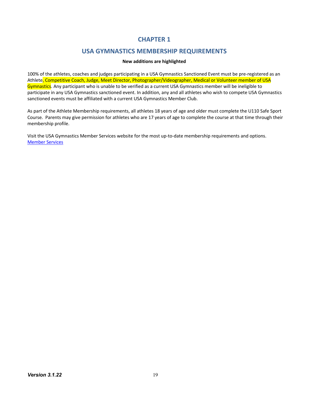# **CHAPTER 1**

# **USA GYMNASTICS MEMBERSHIP REQUIREMENTS**

# **New additions are highlighted**

100% of the athletes, coaches and judges participating in a USA Gymnastics Sanctioned Event must be pre-registered as an Athlete, Competitive Coach, Judge, Meet Director, Photographer/Videographer, Medical or Volunteer member of USA Gymnastics. Any participant who is unable to be verified as a current USA Gymnastics member will be ineligible to participate in any USA Gymnastics sanctioned event. In addition, any and all athletes who wish to compete USA Gymnastics sanctioned events must be affiliated with a current USA Gymnastics Member Club.

As part of the Athlete Membership requirements, all athletes 18 years of age and older must complete the U110 Safe Sport Course. Parents may give permission for athletes who are 17 years of age to complete the course at that time through their membership profile.

Visit the USA Gymnastics Member Services website for the most up-to-date membership requirements and options. Member Services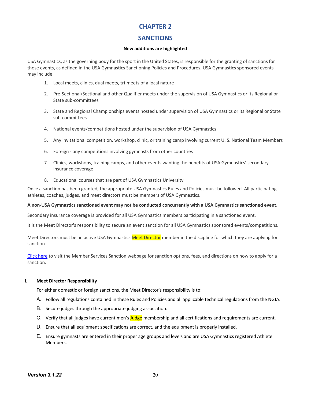# **CHAPTER 2**

# **SANCTIONS**

# **New additions are highlighted**

USA Gymnastics, as the governing body for the sport in the United States, is responsible for the granting of sanctions for those events, as defined in the USA Gymnastics Sanctioning Policies and Procedures. USA Gymnastics sponsored events may include:

- 1. Local meets, clinics, dual meets, tri-meets of a local nature
- 2. Pre-Sectional/Sectional and other Qualifier meets under the supervision of USA Gymnastics or its Regional or State sub-committees
- 3. State and Regional Championships events hosted under supervision of USA Gymnastics or its Regional or State sub-committees
- 4. National events/competitions hosted under the supervision of USA Gymnastics
- 5. Any invitational competition, workshop, clinic, or training camp involving current U. S. National Team Members
- 6. Foreign any competitions involving gymnasts from other countries
- 7. Clinics, workshops, training camps, and other events wanting the benefits of USA Gymnastics' secondary insurance coverage
- 8. Educational courses that are part of USA Gymnastics University

Once a sanction has been granted, the appropriate USA Gymnastics Rules and Policies must be followed. All participating athletes, coaches, judges, and meet directors must be members of USA Gymnastics.

#### **A non-USA Gymnastics sanctioned event may not be conducted concurrently with a USA Gymnastics sanctioned event.**

Secondary insurance coverage is provided for all USA Gymnastics members participating in a sanctioned event.

It is the Meet Director's responsibility to secure an event sanction for all USA Gymnastics sponsored events/competitions.

Meet Directors must be an active USA Gymnastics Meet Director member in the discipline for which they are applying for sanction.

Click here to visit the Member Services Sanction webpage for sanction options, fees, and directions on how to apply for a sanction.

#### **I. Meet Director Responsibility**

For either domestic or foreign sanctions, the Meet Director's responsibility is to:

- A. Follow all regulations contained in these Rules and Policies and all applicable technical regulations from the NGJA.
- B. Secure judges through the appropriate judging association.
- C. Verify that all judges have current men's **Judge** membership and all certifications and requirements are current.
- D. Ensure that all equipment specifications are correct, and the equipment is properly installed.
- E. Ensure gymnasts are entered in their proper age groups and levels and are USA Gymnastics registered Athlete Members.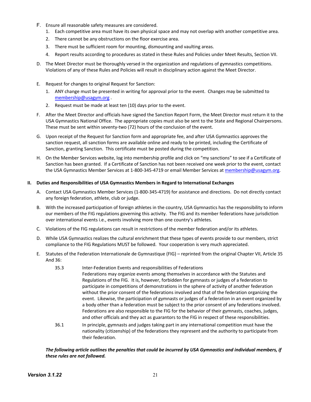- F. Ensure all reasonable safety measures are considered.
	- 1. Each competitive area must have its own physical space and may not overlap with another competitive area.
	- 2. There cannot be any obstructions on the floor exercise area.
	- 3. There must be sufficient room for mounting, dismounting and vaulting areas.
	- 4. Report results according to procedures as stated in these Rules and Policies under Meet Results, Section VII.
- D. The Meet Director must be thoroughly versed in the organization and regulations of gymnastics competitions. Violations of any of these Rules and Policies will result in disciplinary action against the Meet Director.
- E. Request for changes to original Request for Sanction:
	- 1. ANY change must be presented in writing for approval prior to the event. Changes may be submitted to membership@usagym.org .
	- 2. Request must be made at least ten (10) days prior to the event.
- F. After the Meet Director and officials have signed the Sanction Report Form, the Meet Director must return it to the USA Gymnastics National Office. The appropriate copies must also be sent to the State and Regional Chairpersons. These must be sent within seventy-two (72) hours of the conclusion of the event.
- G. Upon receipt of the Request for Sanction form and appropriate fee, and after USA Gymnastics approves the sanction request, all sanction forms are available online and ready to be printed, including the Certificate of Sanction, granting Sanction. This certificate must be posted during the competition.
- H. On the Member Services website, log into membership profile and click on "my sanctions" to see if a Certificate of Sanction has been granted. If a Certificate of Sanction has not been received one week prior to the event, contact the USA Gymnastics Member Services at 1-800-345-4719 or email Member Services at membership@usagym.org.

# **II. Duties and Responsibilities of USA Gymnastics Members in Regard to International Exchanges**

- A. Contact USA Gymnastics Member Services (1-800-345-4719) for assistance and directions. Do not directly contact any foreign federation, athlete, club or judge.
- B. With the increased participation of foreign athletes in the country, USA Gymnastics has the responsibility to inform our members of the FIG regulations governing this activity. The FIG and its member federations have jurisdiction over international events i.e., events involving more than one country's athletes.
- C. Violations of the FIG regulations can result in restrictions of the member federation and/or its athletes.
- D. While USA Gymnastics realizes the cultural enrichment that these types of events provide to our members, strict compliance to the FIG Regulations MUST be followed. Your cooperation is very much appreciated.
- E. Statutes of the Federation Internationale de Gymnastique (FIG) reprinted from the original Chapter VII, Article 35 And 36:
	- 35.3 Inter-Federation Events and responsibilities of Federations Federations may organize events among themselves in accordance with the Statutes and Regulations of the FIG. It is, however, forbidden for gymnasts or judges of a federation to participate in competitions of demonstrations in the sphere of activity of another federation without the prior consent of the federations involved and that of the federation organizing the event. Likewise, the participation of gymnasts or judges of a federation in an event organized by a body other than a federation must be subject to the prior consent of any federations involved. Federations are also responsible to the FIG for the behavior of their gymnasts, coaches, judges, and other officials and they act as guarantors to the FIG in respect of these responsibilities.
	- 36.1 In principle, gymnasts and judges taking part in any international competition must have the nationality (citizenship) of the federations they represent and the authority to participate from their federation.

# *The following article outlines the penalties that could be incurred by USA Gymnastics and individual members, if these rules are not followed.*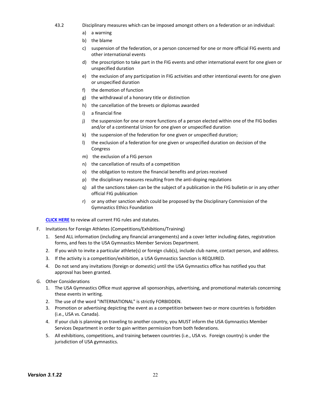- 43.2 Disciplinary measures which can be imposed amongst others on a federation or an individual:
	- a) a warning
	- b) the blame
	- c) suspension of the federation, or a person concerned for one or more official FIG events and other international events
	- d) the proscription to take part in the FIG events and other international event for one given or unspecified duration
	- e) the exclusion of any participation in FIG activities and other intentional events for one given or unspecified duration
	- f) the demotion of function
	- g) the withdrawal of a honorary title or distinction
	- h) the cancellation of the brevets or diplomas awarded
	- i) a financial fine
	- j) the suspension for one or more functions of a person elected within one of the FIG bodies and/or of a continental Union for one given or unspecified duration
	- k) the suspension of the federation for one given or unspecified duration;
	- l) the exclusion of a federation for one given or unspecified duration on decision of the Congress
	- m) the exclusion of a FIG person
	- n) the cancellation of results of a competition
	- o) the obligation to restore the financial benefits and prizes received
	- p) the disciplinary measures resulting from the anti-doping regulations
	- q) all the sanctions taken can be the subject of a publication in the FIG bulletin or in any other official FIG publication
	- r) or any other sanction which could be proposed by the Disciplinary Commission of the Gymnastics Ethics Foundation

**CLICK HERE** to review all current FIG rules and statutes.

- F. Invitations for Foreign Athletes (Competitions/Exhibitions/Training)
	- 1. Send ALL information (including any financial arrangements) and a cover letter including dates, registration forms, and fees to the USA Gymnastics Member Services Department.
	- 2. If you wish to invite a particular athlete(s) or foreign club(s), include club name, contact person, and address.
	- 3. If the activity is a competition/exhibition, a USA Gymnastics Sanction is REQUIRED.
	- 4. Do not send any invitations (foreign or domestic) until the USA Gymnastics office has notified you that approval has been granted.
- G. Other Considerations
	- 1. The USA Gymnastics Office must approve all sponsorships, advertising, and promotional materials concerning these events in writing.
	- 2. The use of the word "INTERNATIONAL" is strictly FORBIDDEN.
	- 3. Promotion or advertising depicting the event as a competition between two or more countries is forbidden (i.e., USA vs. Canada).
	- 4. If your club is planning on traveling to another country, you MUST inform the USA Gymnastics Member Services Department in order to gain written permission from both federations.
	- 5. All exhibitions, competitions, and training between countries (i.e., USA vs. Foreign country) is under the jurisdiction of USA gymnastics.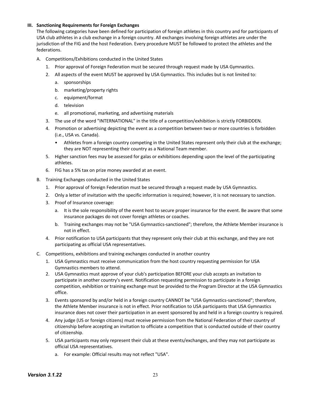# **III. Sanctioning Requirements for Foreign Exchanges**

The following categories have been defined for participation of foreign athletes in this country and for participants of USA club athletes in a club exchange in a foreign country. All exchanges involving foreign athletes are under the jurisdiction of the FIG and the host Federation. Every procedure MUST be followed to protect the athletes and the federations.

- A. Competitions/Exhibitions conducted in the United States
	- 1. Prior approval of Foreign Federation must be secured through request made by USA Gymnastics.
	- 2. All aspects of the event MUST be approved by USA Gymnastics. This includes but is not limited to:
		- a. sponsorships
		- b. marketing/property rights
		- c. equipment/format
		- d. television
		- e. all promotional, marketing, and advertising materials
	- 3. The use of the word "INTERNATIONAL" in the title of a competition/exhibition is strictly FORBIDDEN.
	- 4. Promotion or advertising depicting the event as a competition between two or more countries is forbidden (i.e., USA vs. Canada).
		- Athletes from a foreign country competing in the United States represent only their club at the exchange; they are NOT representing their country as a National Team member.
	- 5. Higher sanction fees may be assessed for galas or exhibitions depending upon the level of the participating athletes.
	- 6. FIG has a 5% tax on prize money awarded at an event.
- B. Training Exchanges conducted in the United States
	- 1. Prior approval of foreign Federation must be secured through a request made by USA Gymnastics.
	- 2. Only a letter of invitation with the specific information is required; however, it is not necessary to sanction.
	- 3. Proof of Insurance coverage:
		- a. It is the sole responsibility of the event host to secure proper insurance for the event. Be aware that some insurance packages do not cover foreign athletes or coaches.
		- b. Training exchanges may not be "USA Gymnastics-sanctioned"; therefore, the Athlete Member insurance is not in effect.
	- 4. Prior notification to USA participants that they represent only their club at this exchange, and they are not participating as official USA representatives.
- C. Competitions, exhibitions and training exchanges conducted in another country
	- 1. USA Gymnastics must receive communication from the host country requesting permission for USA Gymnastics members to attend.
	- 2. USA Gymnastics must approve of your club's participation BEFORE your club accepts an invitation to participate in another country's event. Notification requesting permission to participate in a foreign competition, exhibition or training exchange must be provided to the Program Director at the USA Gymnastics office.
	- 3. Events sponsored by and/or held in a foreign country CANNOT be "USA Gymnastics-sanctioned"; therefore, the Athlete Member insurance is not in effect. Prior notification to USA participants that USA Gymnastics insurance does not cover their participation in an event sponsored by and held in a foreign country is required.
	- 4. Any judge (US or foreign citizens) must receive permission from the National Federation of their country of citizenship before accepting an invitation to officiate a competition that is conducted outside of their country of citizenship.
	- 5. USA participants may only represent their club at these events/exchanges, and they may not participate as official USA representatives.
		- a. For example: Official results may not reflect "USA".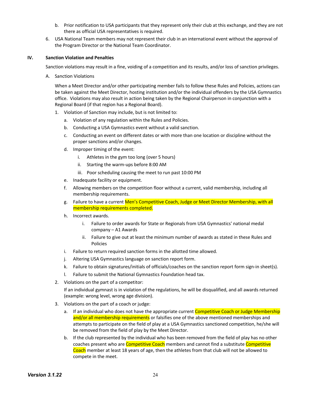- b. Prior notification to USA participants that they represent only their club at this exchange, and they are not there as official USA representatives is required.
- 6. USA National Team members may not represent their club in an international event without the approval of the Program Director or the National Team Coordinator.

#### **IV. Sanction Violation and Penalties**

Sanction violations may result in a fine, voiding of a competition and its results, and/or loss of sanction privileges.

A. Sanction Violations

When a Meet Director and/or other participating member fails to follow these Rules and Policies, actions can be taken against the Meet Director, hosting institution and/or the individual offenders by the USA Gymnastics office. Violations may also result in action being taken by the Regional Chairperson in conjunction with a Regional Board (if that region has a Regional Board).

- 1. Violation of Sanction may include, but is not limited to:
	- a. Violation of any regulation within the Rules and Policies.
	- b. Conducting a USA Gymnastics event without a valid sanction.
	- c. Conducting an event on different dates or with more than one location or discipline without the proper sanctions and/or changes.
	- d. Improper timing of the event:
		- i. Athletes in the gym too long (over 5 hours)
		- ii. Starting the warm-ups before 8:00 AM
		- iii. Poor scheduling causing the meet to run past 10:00 PM
	- e. Inadequate facility or equipment.
	- f. Allowing members on the competition floor without a current, valid membership, including all membership requirements.
	- g. Failure to have a current Men's Competitive Coach, Judge or Meet Director Membership, with all membership requirements completed.
	- h. Incorrect awards.
		- i. Failure to order awards for State or Regionals from USA Gymnastics' national medal company – A1 Awards
		- ii. Failure to give out at least the minimum number of awards as stated in these Rules and Policies
	- i. Failure to return required sanction forms in the allotted time allowed.
	- j. Altering USA Gymnastics language on sanction report form.
	- k. Failure to obtain signatures/initials of officials/coaches on the sanction report form sign-in sheet(s).
	- l. Failure to submit the National Gymnastics Foundation head tax.
- 2. Violations on the part of a competitor:

If an individual gymnast is in violation of the regulations, he will be disqualified, and all awards returned (example: wrong level, wrong age division).

- 3. Violations on the part of a coach or judge:
	- a. If an individual who does not have the appropriate current Competitive Coach or Judge Membership and/or all membership requirements or falsifies one of the above mentioned memberships and attempts to participate on the field of play at a USA Gymnastics sanctioned competition, he/she will be removed from the field of play by the Meet Director.
	- b. If the club represented by the individual who has been removed from the field of play has no other coaches present who are **Competitive Coach** members and cannot find a substitute **Competitive** Coach member at least 18 years of age, then the athletes from that club will not be allowed to compete in the meet.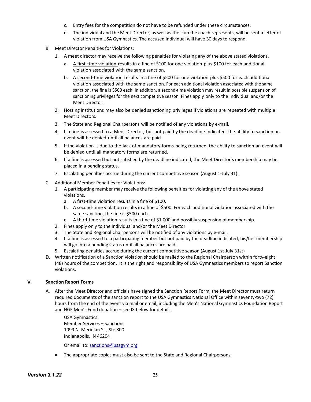- c. Entry fees for the competition do not have to be refunded under these circumstances.
- d. The individual and the Meet Director, as well as the club the coach represents, will be sent a letter of violation from USA Gymnastics. The accused individual will have 30 days to respond.
- B. Meet Director Penalties for Violations:
	- 1. A meet director may receive the following penalties for violating any of the above stated violations.
		- a. A first-time violation results in a fine of \$100 for one violation plus \$100 for each additional violation associated with the same sanction.
		- b. A second-time violation results in a fine of \$500 for one violation plus \$500 for each additional violation associated with the same sanction. For each additional violation associated with the same sanction, the fine is \$500 each. In addition, a second-time violation may result in possible suspension of sanctioning privileges for the next competitive season. Fines apply only to the individual and/or the Meet Director.
	- 2. Hosting institutions may also be denied sanctioning privileges if violations are repeated with multiple Meet Directors.
	- 3. The State and Regional Chairpersons will be notified of any violations by e-mail.
	- 4. If a fine is assessed to a Meet Director, but not paid by the deadline indicated, the ability to sanction an event will be denied until all balances are paid.
	- 5. Ifthe violation is due to the lack of mandatory forms being returned, the ability to sanction an event will be denied until all mandatory forms are returned.
	- 6. If a fine is assessed but not satisfied by the deadline indicated, the Meet Director's membership may be placed in a pending status.
	- 7. Escalating penalties accrue during the current competitive season (August 1-July 31).
- C. Additional Member Penalties for Violations:
	- 1. A participating member may receive the following penalties for violating any of the above stated violations.
		- a. A first-time violation results in a fine of \$100.
		- b. A second-time violation results in a fine of \$500. For each additional violation associated with the same sanction, the fine is \$500 each.
		- c. A third-time violation results in a fine of \$1,000 and possibly suspension of membership.
	- 2. Fines apply only to the individual and/or the Meet Director.
	- 3. The State and Regional Chairpersons will be notified of any violations by e-mail.
	- 4. If a fine is assessed to a participating member but not paid by the deadline indicated, his/her membership will go into a pending status until all balances are paid.
	- 5. Escalating penalties accrue during the current competitive season (August 1st-July 31st)
- D. Written notification of a Sanction violation should be mailed to the Regional Chairperson within forty-eight (48) hours of the competition. It is the right and responsibility of USA Gymnastics members to report Sanction violations.

# **V. Sanction Report Forms**

A. After the Meet Director and officials have signed the Sanction Report Form, the Meet Director must return required documents of the sanction report to the USA Gymnastics National Office within seventy-two (72) hours from the end of the event via mail or email, including the Men's National Gymnastics Foundation Report and NGF Men's Fund donation – see IX below for details.

USA Gymnastics Member Services – Sanctions 1099 N. Meridian St., Ste 800 Indianapolis, IN 46204

Or email to: sanctions@usagym.org

• The appropriate copies must also be sent to the State and Regional Chairpersons.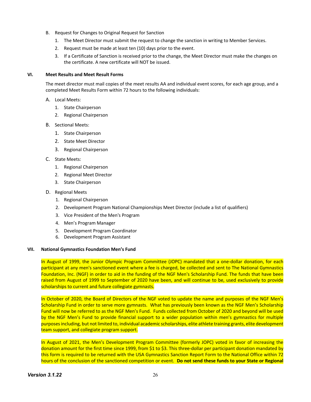- B. Request for Changes to Original Request for Sanction
	- 1. The Meet Director must submit the request to change the sanction in writing to Member Services.
	- 2. Request must be made at least ten (10) days prior to the event.
	- 3. If a Certificate of Sanction is received prior to the change, the Meet Director must make the changes on the certificate. A new certificate will NOT be issued.

## **VI. Meet Results and Meet Result Forms**

The meet director must mail copies of the meet results AA and individual event scores, for each age group, and a completed Meet Results Form within 72 hours to the following individuals:

- A. Local Meets:
	- 1. State Chairperson
	- 2. Regional Chairperson
- B. Sectional Meets:
	- 1. State Chairperson
	- 2. State Meet Director
	- 3. Regional Chairperson
- C. State Meets:
	- 1. Regional Chairperson
	- 2. Regional Meet Director
	- 3. State Chairperson
- D. Regional Meets
	- 1. Regional Chairperson
	- 2. Development Program National Championships Meet Director (include a list of qualifiers)
	- 3. Vice President of the Men's Program
	- 4. Men's Program Manager
	- 5. Development Program Coordinator
	- 6. Development Program Assistant

# **VII. National Gymnastics Foundation Men's Fund**

In August of 1999, the Junior Olympic Program Committee (JOPC) mandated that a one-dollar donation, for each participant at any men's sanctioned event where a fee is charged, be collected and sent to The National Gymnastics Foundation, Inc. (NGF) in order to aid in the funding of the NGF Men's Scholarship Fund. The funds that have been raised from August of 1999 to September of 2020 have been, and will continue to be, used exclusively to provide scholarships to current and future collegiate gymnasts.

In October of 2020, the Board of Directors of the NGF voted to update the name and purposes of the NGF Men's Scholarship Fund in order to serve more gymnasts. What has previously been known as the NGF Men's Scholarship Fund will now be referred to as the NGF Men's Fund. Funds collected from October of 2020 and beyond will be used by the NGF Men's Fund to provide financial support to a wider population within men's gymnastics for multiple purposes including, but not limited to, individual academic scholarships, elite athlete training grants, elite development team support, and collegiate program support.

In August of 2021, the Men's Development Program Committee (formerly JOPC) voted in favor of increasing the donation amount for the first time since 1999, from \$1 to \$3. This three-dollar per participant donation mandated by this form is required to be returned with the USA Gymnastics Sanction Report Form to the National Office within 72 hours of the conclusion of the sanctioned competition or event. **Do not send these funds to your State or Regional**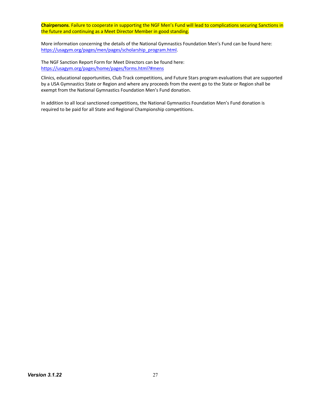**Chairpersons**. Failure to cooperate in supporting the NGF Men's Fund will lead to complications securing Sanctions in the future and continuing as a Meet Director Member in good standing.

More information concerning the details of the National Gymnastics Foundation Men's Fund can be found here: https://usagym.org/pages/men/pages/scholarship\_program.html.

The NGF Sanction Report Form for Meet Directors can be found here: https://usagym.org/pages/home/pages/forms.html?#mens

Clinics, educational opportunities, Club Track competitions, and Future Stars program evaluations that are supported by a USA Gymnastics State or Region and where any proceeds from the event go to the State or Region shall be exempt from the National Gymnastics Foundation Men's Fund donation.

In addition to all local sanctioned competitions, the National Gymnastics Foundation Men's Fund donation is required to be paid for all State and Regional Championship competitions.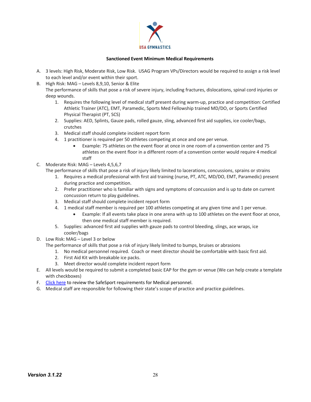

## **Sanctioned Event Minimum Medical Requirements**

- A. 3 levels: High Risk, Moderate Risk, Low Risk. USAG Program VPs/Directors would be required to assign a risk level to each level and/or event within their sport.
- B. High Risk: MAG Levels 8,9,10, Senior & Elite

The performance of skills that pose a risk of severe injury, including fractures, dislocations, spinal cord injuries or deep wounds.

- 1. Requires the following level of medical staff present during warm-up, practice and competition: Certified Athletic Trainer (ATC), EMT, Paramedic, Sports Med Fellowship trained MD/DO, or Sports Certified Physical Therapist (PT, SCS)
- 2. Supplies: AED, Splints, Gauze pads, rolled gauze, sling, advanced first aid supplies, ice cooler/bags, crutches
- 3. Medical staff should complete incident report form
- 4. 1 practitioner is required per 50 athletes competing at once and one per venue.
	- Example: 75 athletes on the event floor at once in one room of a convention center and 75 athletes on the event floor in a different room of a convention center would require 4 medical staff
- C. Moderate Risk: MAG Levels 4,5,6,7

The performance of skills that pose a risk of injury likely limited to lacerations, concussions, sprains or strains

- 1. Requires a medical professional with first aid training (nurse, PT, ATC, MD/DO, EMT, Paramedic) present during practice and competition.
- 2. Prefer practitioner who is familiar with signs and symptoms of concussion and is up to date on current concussion return to play guidelines.
- 3. Medical staff should complete incident report form
- 4. 1 medical staff member is required per 100 athletes competing at any given time and 1 per venue.
	- Example: If all events take place in one arena with up to 100 athletes on the event floor at once, then one medical staff member is required.
- 5. Supplies: advanced first aid supplies with gauze pads to control bleeding, slings, ace wraps, ice cooler/bags
- D. Low Risk: MAG Level 3 or below

The performance of skills that pose a risk of injury likely limited to bumps, bruises or abrasions

- 1. No medical personnel required. Coach or meet director should be comfortable with basic first aid.
- 2. First Aid Kit with breakable ice packs.
- 3. Meet director would complete incident report form
- E. All levels would be required to submit a completed basic EAP for the gym or venue (We can help create a template with checkboxes)
- F. Click here to review the SafeSport requirements for Medical personnel.
- G. Medical staff are responsible for following their state's scope of practice and practice guidelines.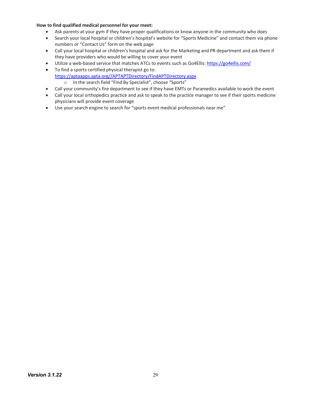# **How to find qualified medical personnel for your meet:**

- Ask parents at your gym if they have proper qualifications or know anyone in the community who does
- Search your local hospital or children's hospital's website for "Sports Medicine" and contact them via phone numbers or "Contact Us" form on the web page
- Call your local hospital or children's hospital and ask for the Marketing and PR department and ask them if they have providers who would be willing to cover your event
- Utilize a web-based service that matches ATCs to events such as Go4Ellis: https://go4ellis.com/
- To find a sports certified physical therapist go to: https://aptaapps.apta.org//APTAPTDirectory/FindAPTDirectory.aspx o In the search field "Find By Specialist", choose "Sports"
- Call your community's fire department to see if they have EMTs or Paramedics available to work the event
- Call your local orthopedics practice and ask to speak to the practice manager to see if their sports medicine physicians will provide event coverage
- Use your search engine to search for "sports event medical professionals near me"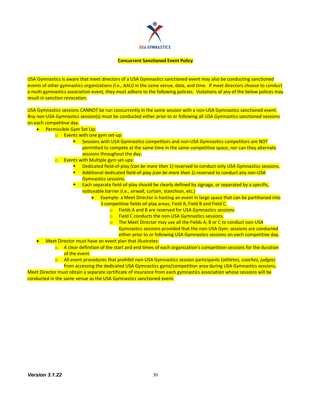

#### **Concurrent Sanctioned Event Policy**

USA Gymnastics is aware that meet directors of a USA Gymnastics sanctioned event may also be conducting sanctioned events of other gymnastics organizations *(i.e., AAU)* in the same venue, date, and time. If meet directors choose to conduct a multi-gymnastics association event, they must adhere to the following policies. Violations of any of the below polices may result in sanction revocation.

USA Gymnastics sessions CANNOT be run concurrently in the same session with a non-USA Gymnastics sanctioned event. Any non-USA Gymnastics session(s) must be conducted either prior to or following all USA Gymnastics sanctioned sessions on each competitive day.

- **•** Permissible Gym Set Up:
	- o Events with one gym set-up:
		- Sessions with USA Gymnastics competitors and non-USA Gymnastics competitors are NOT permitted to compete at the same time in the same competitive space, nor can they alternate sessions throughout the day.
	- o Events with Multiple gym set-ups:
		- § Dedicated field-of-play *(can be more than 1)* reserved to conduct only USA Gymnastics sessions.
		- § Additional dedicated field-of-play *(can be more than 1)* reserved to conduct any non-USA Gymnastics sessions.

■ Each separate field-of-play should be clearly defined by signage, or separated by a specific, noticeable barrier (i.e., airwall, curtain, stanchion, etc.)

- Example: a Meet Director is hosting an event in large space that can be partitioned into 3 competitive fields-of-play areas; Field A, Field B and Field C.
	- o Fields A and B are reserved for USA Gymnastics sessions
	- o Field C conducts the non-USA Gymnastics sessions.
	- o The Meet Director may use all the Fields A, B or C to conduct non-USA Gymnastics sessions provided that the non-USA Gym. sessions are conducted either prior to or following USA Gymnastics sessions on each competitive day.
- Meet Director must have an event plan that illustrates:
	- $\circ$  A clear definition of the start and end times of each organization's competition sessions for the duration of the event.
	- o All event procedures that prohibit non-USA Gymnastics session participants (*athletes, coaches, judges)* from accessing the dedicated USA Gymnastics gyms/competition area during USA Gymnastics sessions.

Meet Director must obtain a separate certificate of insurance from each gymnastics association whose sessions will be conducted in the same venue as the USA Gymnastics sanctioned event.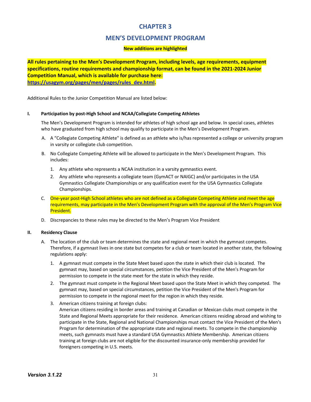# **CHAPTER 3**

# **MEN'S DEVELOPMENT PROGRAM**

# **New additions are highlighted**

**All rules pertaining to the Men's Development Program, including levels, age requirements, equipment specifications, routine requirements and championship format, can be found in the 2021-2024 Junior Competition Manual, which is available for purchase here: https://usagym.org/pages/men/pages/rules\_dev.html.**

Additional Rules to the Junior Competition Manual are listed below:

#### **I. Participation by post-High School and NCAA/Collegiate Competing Athletes**

The Men's Development Program is intended for athletes of high school age and below. In special cases, athletes who have graduated from high school may qualify to participate in the Men's Development Program.

- A. A "Collegiate Competing Athlete" is defined as an athlete who is/has represented a college or university program in varsity or collegiate club competition.
- B. No Collegiate Competing Athlete will be allowed to participate in the Men's Development Program. This includes:
	- 1. Any athlete who represents a NCAA institution in a varsity gymnastics event.
	- 2. Any athlete who represents a collegiate team (GymACT or NAIGC) and/or participates in the USA Gymnastics Collegiate Championships or any qualification event for the USA Gymnastics Collegiate Championships.
- C. One-year post-High School athletes who are not defined as a Collegiate Competing Athlete and meet the age requirements, may participate in the Men's Development Program with the approval of the Men's Program Vice President.
- D. Discrepancies to these rules may be directed to the Men's Program Vice President

#### **II. Residency Clause**

- A. The location of the club or team determines the state and regional meet in which the gymnast competes. Therefore, if a gymnast lives in one state but competes for a club or team located in another state, the following regulations apply:
	- 1. A gymnast must compete in the State Meet based upon the state in which their club is located. The gymnast may, based on special circumstances, petition the Vice President of the Men's Program for permission to compete in the state meet for the state in which they reside.
	- 2. The gymnast must compete in the Regional Meet based upon the State Meet in which they competed. The gymnast may, based on special circumstances, petition the Vice President of the Men's Program for permission to compete in the regional meet for the region in which they reside.
	- 3. American citizens training at foreign clubs: American citizens residing in border areas and training at Canadian or Mexican clubs must compete in the State and Regional Meets appropriate for their residence. American citizens residing abroad and wishing to participate in the State, Regional and National Championships must contact the Vice President of the Men's Program for determination of the appropriate state and regional meets. To compete in the championship meets, such gymnasts must have a standard USA Gymnastics Athlete Membership. American citizens training at foreign clubs are not eligible for the discounted insurance-only membership provided for foreigners competing in U.S. meets.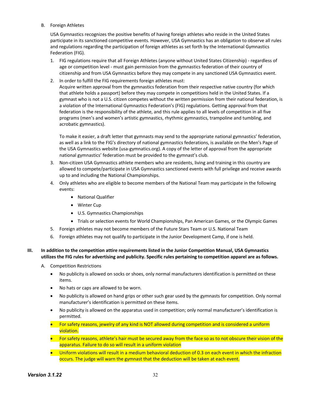# B. Foreign Athletes

USA Gymnastics recognizes the positive benefits of having foreign athletes who reside in the United States participate in its sanctioned competitive events. However, USA Gymnastics has an obligation to observe all rules and regulations regarding the participation of foreign athletes as set forth by the International Gymnastics Federation (FIG).

- 1. FIG regulations require that all Foreign Athletes (anyone without United States Citizenship) regardless of age or competition level - must gain permission from the gymnastics federation of their country of citizenship and from USA Gymnastics before they may compete in any sanctioned USA Gymnastics event.
- 2. In order to fulfill the FIG requirements foreign athletes must: Acquire written approval from the gymnastics federation from their respective native country (for which that athlete holds a passport) before they may compete in competitions held in the United States. If a gymnast who is not a U.S. citizen competes without the written permission from their national federation, is a violation of the International Gymnastics Federation's (FIG) regulations. Getting approval from that federation is the responsibility of the athlete, and this rule applies to all levels of competition in all five programs (men's and women's artistic gymnastics, rhythmic gymnastics, trampoline and tumbling, and acrobatic gymnastics).

To make it easier, a draft letter that gymnasts may send to the appropriate national gymnastics' federation, as well as a link to the FIG's directory of national gymnastics federations, is available on the Men's Page of the USA Gymnastics website (usa-gymnatics.org). A copy of the letter of approval from the appropriate national gymnastics' federation must be provided to the gymnast's club.

- 3. Non-citizen USA Gymnastics athlete members who are residents, living and training in this country are allowed to compete/participate in USA Gymnastics sanctioned events with full privilege and receive awards up to and including the National Championships.
- 4. Only athletes who are eligible to become members of the National Team may participate in the following events:
	- National Qualifier
	- Winter Cup
	- U.S. Gymnastics Championships
	- Trials or selection events for World Championships, Pan American Games, or the Olympic Games
- 5. Foreign athletes may not become members of the Future Stars Team or U.S. National Team
- 6. Foreign athletes may not qualify to participate in the Junior Development Camp, if one is held.

# **III. In addition to the competition attire requirements listed in the Junior Competition Manual, USA Gymnastics utilizes the FIG rules for advertising and publicity. Specific rules pertaining to competition apparel are as follows.**

- A. Competition Restrictions
	- No publicity is allowed on socks or shoes, only normal manufacturers identification is permitted on these items.
	- No hats or caps are allowed to be worn.
	- No publicity is allowed on hand grips or other such gear used by the gymnasts for competition. Only normal manufacturer's identification is permitted on these items.
	- No publicity is allowed on the apparatus used in competition; only normal manufacturer's identification is permitted.
	- For safety reasons, jewelry of any kind is NOT allowed during competition and is considered a uniform violation.
	- For safety reasons, athlete's hair must be secured away from the face so as to not obscure their vision of the apparatus. Failure to do so will result in a uniform violation
	- Uniform violations will result in a medium behavioral deduction of 0.3 on each event in which the infraction occurs. The judge will warn the gymnast that the deduction will be taken at each event.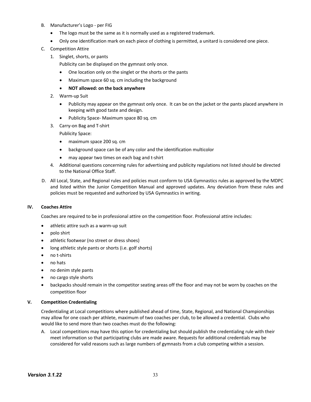- B. Manufacturer's Logo per FIG
	- The logo must be the same as it is normally used as a registered trademark.
	- Only one identification mark on each piece of clothing is permitted, a unitard is considered one piece.
- C. Competition Attire
	- 1. Singlet, shorts, or pants
		- Publicity can be displayed on the gymnast only once.
		- One location only on the singlet or the shorts or the pants
		- Maximum space 60 sq. cm including the background
		- **NOT allowed: on the back anywhere**
	- 2. Warm-up Suit
		- Publicity may appear on the gymnast only once. It can be on the jacket or the pants placed anywhere in keeping with good taste and design.
		- Publicity Space- Maximum space 80 sq. cm
	- 3. Carry-on Bag and T-shirt

Publicity Space:

- maximum space 200 sq. cm
- background space can be of any color and the identification multicolor
- may appear two times on each bag and t-shirt
- 4. Additional questions concerning rules for advertising and publicity regulations not listed should be directed to the National Office Staff.
- D. All Local, State, and Regional rules and policies must conform to USA Gymnastics rules as approved by the MDPC and listed within the Junior Competition Manual and approved updates. Any deviation from these rules and policies must be requested and authorized by USA Gymnastics in writing.

# **IV. Coaches Attire**

Coaches are required to be in professional attire on the competition floor. Professional attire includes:

- athletic attire such as a warm-up suit
- polo shirt
- athletic footwear (no street or dress shoes)
- long athletic style pants or shorts (i.e. golf shorts)
- no t-shirts
- no hats
- no denim style pants
- no cargo style shorts
- backpacks should remain in the competitor seating areas off the floor and may not be worn by coaches on the competition floor

# **V. Competition Credentialing**

Credentialing at Local competitions where published ahead of time, State, Regional, and National Championships may allow for one coach per athlete, maximum of two coaches per club, to be allowed a credential. Clubs who would like to send more than two coaches must do the following:

A. Local competitions may have this option for credentialing but should publish the credentialing rule with their meet information so that participating clubs are made aware. Requests for additional credentials may be considered for valid reasons such as large numbers of gymnasts from a club competing within a session.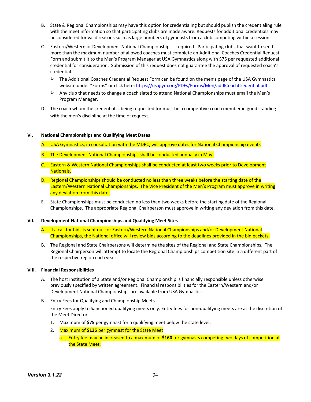- B. State & Regional Championships may have this option for credentialing but should publish the credentialing rule with the meet information so that participating clubs are made aware. Requests for additional credentials may be considered for valid reasons such as large numbers of gymnasts from a club competing within a session.
- C. Eastern/Western or Development National Championships required. Participating clubs that want to send more than the maximum number of allowed coaches must complete an Additional Coaches Credential Request Form and submit it to the Men's Program Manager at USA Gymnastics along with \$75 per requested additional credential for consideration. Submission of this request does not guarantee the approval of requested coach's credential.
	- $\triangleright$  The Additional Coaches Credential Request Form can be found on the men's page of the USA Gymnastics website under "Forms" or click here: https://usagym.org/PDFs/Forms/Men/addlCoachCredential.pdf
	- $\triangleright$  Any club that needs to change a coach slated to attend National Championships must email the Men's Program Manager.
- D. The coach whom the credential is being requested for must be a competitive coach member in good standing with the men's discipline at the time of request.

#### **VI. National Championships and Qualifying Meet Dates**

A. USA Gymnastics, in consultation with the MDPC, will approve dates for National Championship events

- B. The Development National Championships shall be conducted annually in May.
- C. Eastern & Western National Championships shall be conducted at least two weeks prior to Development Nationals.
- D. Regional Championships should be conducted no less than three weeks before the starting date of the Eastern/Western National Championships. The Vice President of the Men's Program must approve in writing any deviation from this date.
- E. State Championships must be conducted no less than two weeks before the starting date of the Regional Championships. The appropriate Regional Chairperson must approve in writing any deviation from this date.

#### **VII. Development National Championships and Qualifying Meet Sites**

- A. If a call for bids is sent out for Eastern/Western National Championships and/or Development National Championships, the National office will review bids according to the deadlines provided in the bid packets.
- B. The Regional and State Chairpersons will determine the sites of the Regional and State Championships. The Regional Chairperson will attempt to locate the Regional Championships competition site in a different part of the respective region each year.

#### **VIII. Financial Responsibilities**

- A. The host institution of a State and/or Regional Championship is financially responsible unless otherwise previously specified by written agreement. Financial responsibilities for the Eastern/Western and/or Development National Championships are available from USA Gymnastics.
- B. Entry Fees for Qualifying and Championship Meets

Entry Fees apply to Sanctioned qualifying meets only. Entry fees for non-qualifying meets are at the discretion of the Meet Director.

- 1. Maximum of **\$75** per gymnast for a qualifying meet below the state level.
- 2. Maximum of **\$135** per gymnast for the State Meet
	- a. Entry fee may be increased to a maximum of **\$160** for gymnasts competing two days of competition at the State Meet.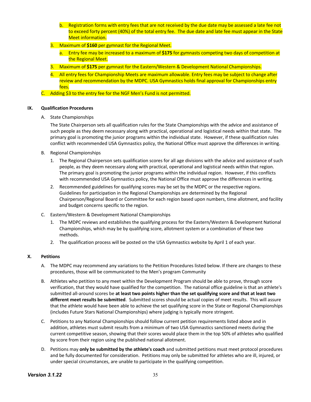- b. Registration forms with entry fees that are not received by the due date may be assessed a late fee not to exceed forty percent (40%) of the total entry fee. The due date and late fee must appear in the State Meet information.
- 3. Maximum of **\$160** per gymnast for the Regional Meet.
	- a. Entry fee may be increased to a maximum of **\$175** for gymnasts competing two days of competition at the Regional Meet.
- 3. Maximum of **\$175** per gymnast for the Eastern/Western & Development National Championships.
- 4. All entry fees for Championship Meets are maximum allowable. Entry fees may be subject to change after review and recommendation by the MDPC. USA Gymnastics holds final approval for Championships entry fees.
- C. Adding \$3 to the entry fee for the NGF Men's Fund is not permitted.

#### **IX. Qualification Procedures**

A. State Championships

The State Chairperson sets all qualification rules for the State Championships with the advice and assistance of such people as they deem necessary along with practical, operational and logistical needs within that state. The primary goal is promoting the junior programs within the individual state. However, if these qualification rules conflict with recommended USA Gymnastics policy, the National Office must approve the differences in writing.

- B. Regional Championships
	- 1. The Regional Chairperson sets qualification scores for all age divisions with the advice and assistance of such people, as they deem necessary along with practical, operational and logistical needs within that region. The primary goal is promoting the junior programs within the individual region. However, if this conflicts with recommended USA Gymnastics policy, the National Office must approve the differences in writing.
	- 2. Recommended guidelines for qualifying scores may be set by the MDPC or the respective regions. Guidelines for participation in the Regional Championships are determined by the Regional Chairperson/Regional Board or Committee for each region based upon numbers, time allotment, and facility and budget concerns specific to the region.
- C. Eastern/Western & Development National Championships
	- 1. The MDPC reviews and establishes the qualifying process for the Eastern/Western & Development National Championships, which may be by qualifying score, allotment system or a combination of these two methods.
	- 2. The qualification process will be posted on the USA Gymnastics website by April 1 of each year.

# **X. Petitions**

- A. The MDPC may recommend any variations to the Petition Procedures listed below. If there are changes to these procedures, those will be communicated to the Men's program Community
- B. Athletes who petition to any meet within the Development Program should be able to prove, through score verification, that they would have qualified for the competition. The national office guideline is that an athlete's submitted all-around scores be **at least two points higher than the set qualifying score and that at least two different meet results be submitted**. Submitted scores should be actual copies of meet results. This will assure that the athlete would have been able to achieve the set qualifying score in the State or Regional Championships (includes Future Stars National Championships) where judging is typically more stringent.
- C. Petitions to any National Championships should follow current petition requirements listed above and in addition, athletes must submit results from a minimum of two USA Gymnastics sanctioned meets during the current competitive season, showing that their scores would place them in the top 50% of athletes who qualified by score from their region using the published national allotment.
- D. Petitions may **only be submitted by the athlete's coach** and submitted petitions must meet protocol procedures and be fully documented for consideration. Petitions may only be submitted for athletes who are ill, injured, or under special circumstances, are unable to participate in the qualifying competition.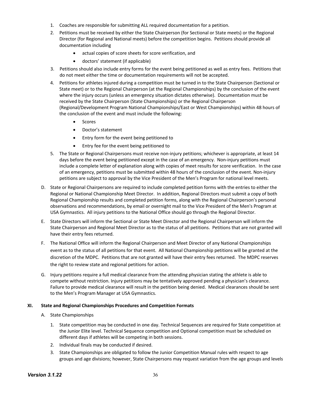- 1. Coaches are responsible for submitting ALL required documentation for a petition.
- 2. Petitions must be received by either the State Chairperson (for Sectional or State meets) or the Regional Director (for Regional and National meets) before the competition begins. Petitions should provide all documentation including
	- actual copies of score sheets for score verification, and
	- doctors' statement (if applicable)
- 3. Petitions should also include entry forms for the event being petitioned as well as entry fees. Petitions that do not meet either the time or documentation requirements will not be accepted.
- 4. Petitions for athletes injured during a competition must be turned in to the State Chairperson (Sectional or State meet) or to the Regional Chairperson (at the Regional Championships) by the conclusion of the event where the injury occurs (unless an emergency situation dictates otherwise). Documentation must be received by the State Chairperson (State Championships) or the Regional Chairperson (Regional/Development Program National Championships/East or West Championships) within 48 hours of the conclusion of the event and must include the following:
	- Scores
	- Doctor's statement
	- Entry form for the event being petitioned to
	- Entry fee for the event being petitioned to
- 5. The State or Regional Chairpersons must receive non-injury petitions; whichever is appropriate, at least 14 days before the event being petitioned except in the case of an emergency. Non-injury petitions must include a complete letter of explanation along with copies of meet results for score verification. In the case of an emergency, petitions must be submitted within 48 hours of the conclusion of the event. Non-injury petitions are subject to approval by the Vice President of the Men's Program for national level meets.
- D. State or Regional Chairpersons are required to include completed petition forms with the entries to either the Regional or National Championship Meet Director. In addition, Regional Directors must submit a copy of both Regional Championship results and completed petition forms, along with the Regional Chairperson's personal observations and recommendations, by email or overnight mail to the Vice President of the Men's Program at USA Gymnastics. All injury petitions to the National Office should go through the Regional Director.
- E. State Directors will inform the Sectional or State Meet Director and the Regional Chairperson will inform the State Chairperson and Regional Meet Director as to the status of all petitions. Petitions that are not granted will have their entry fees returned.
- F. The National Office will inform the Regional Chairperson and Meet Director of any National Championships event as to the status of all petitions for that event. All National Championship petitions will be granted at the discretion of the MDPC. Petitions that are not granted will have their entry fees returned. The MDPC reserves the right to review state and regional petitions for action.
- G. Injury petitions require a full medical clearance from the attending physician stating the athlete is able to compete without restriction. Injury petitions may be tentatively approved pending a physician's clearance. Failure to provide medical clearance will result in the petition being denied. Medical clearances should be sent to the Men's Program Manager at USA Gymnastics.

# **XI. State and Regional Championships Procedures and Competition Formats**

- A. State Championships
	- 1. State competition may be conducted in one day. Technical Sequences are required for State competition at the Junior Elite level. Technical Sequence competition and Optional competition must be scheduled on different days if athletes will be competing in both sessions.
	- 2. Individual finals may be conducted if desired.
	- 3. State Championships are obligated to follow the Junior Competition Manual rules with respect to age groups and age divisions; however, State Chairpersons may request variation from the age groups and levels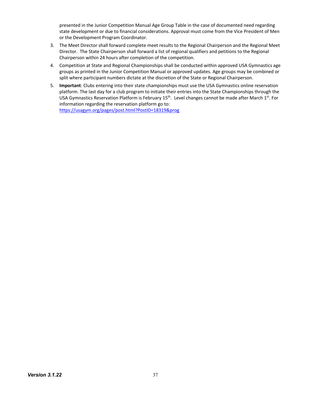presented in the Junior Competition Manual Age Group Table in the case of documented need regarding state development or due to financial considerations. Approval must come from the Vice President of Men or the Development Program Coordinator.

- 3. The Meet Director shall forward complete meet results to the Regional Chairperson and the Regional Meet Director. The State Chairperson shall forward a list of regional qualifiers and petitions to the Regional Chairperson within 24 hours after completion of the competition.
- 4. Competition at State and Regional Championships shall be conducted within approved USA Gymnastics age groups as printed in the Junior Competition Manual or approved updates. Age groups may be combined or split where participant numbers dictate at the discretion of the State or Regional Chairperson.
- 5. **Important**: Clubs entering into their state championships must use the USA Gymnastics online reservation platform. The last day for a club program to initiate their entries into the State Championships through the USA Gymnastics Reservation Platform is February 15<sup>th</sup>. Level changes cannot be made after March 1<sup>st</sup>. For information regarding the reservation platform go to: https://usagym.org/pages/post.html?PostID=18319&prog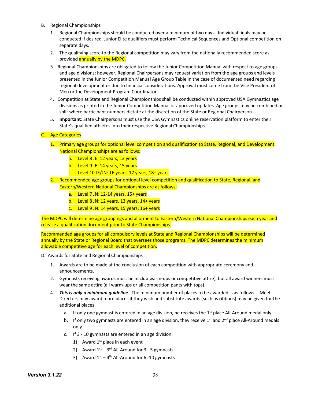- B. Regional Championships
	- 1. Regional Championships should be conducted over a minimum of two days. Individual finals may be conducted if desired. Junior Elite qualifiers must perform Technical Sequences and Optional competition on separate days.
	- 2. The qualifying score to the Regional competition may vary from the nationally recommended score as provided annually by the MDPC.
	- 3. Regional Championships are obligated to follow the Junior Competition Manual with respect to age groups and age divisions; however, Regional Chairpersons may request variation from the age groups and levels presented in the Junior Competition Manual Age Group Table in the case of documented need regarding regional development or due to financial considerations. Approval must come from the Vice President of Men or the Development Program Coordinator.
	- 4. Competition at State and Regional Championships shall be conducted within approved USA Gymnastics age divisions as printed in the Junior Competition Manual or approved updates. Age groups may be combined or split where participant numbers dictate at the discretion of the State or Regional Chairperson.
	- 5. **Important**: State Chairpersons must use the USA Gymnastics online reservation platform to enter their State's qualified athletes into their respective Regional Championships.

#### C. Age Categories

- 1. Primary age groups for optional level competition and qualification to State, Regional, and Development National Championships are as follows:
	- a. Level 8 JE: 12 years, 13 years
	- b. Level 9 JE: 14 years, 15 years
	- c. Level 10 JE/JN: 16 years, 17 years, 18+ years
- 2. Recommended age groups for optional level competition and qualification to State, Regional, and Eastern/Western National Championships are as follows:
	- a. Level 7 JN:  $12-14$  years,  $15+$  years
	- b. Level 8 JN: 12 years, 13 years,  $14+$  years
	- c. Level 9 JN: 14 years, 15 years,  $16+$  years

The MDPC will determine age groupings and allotment to Eastern/Western National Championships each year and release a qualification document prior to State Championships.

Recommended age groups for all compulsory levels at State and Regional Championships will be determined annually by the State or Regional Board that oversees those programs. The MDPC determines the minimum allowable competitive age for each level of competition.

- D. Awards for State and Regional Championships
	- 1. Awards are to be made at the conclusion of each competition with appropriate ceremony and announcements.
	- 2. Gymnasts receiving awards must be in club warm-ups or competitive attire), but all award winners must wear the same attire (all warm-ups or all competition pants with tops).
	- 4. *This is only a minimum guideline*. The minimum number of places to be awarded is as follows -- Meet Directors may award more places if they wish and substitute awards (such as ribbons) may be given for the additional places:
		- a. If only one gymnast is entered in an age division, he receives the  $1<sup>st</sup>$  place All-Around medal only.
		- b. If only two gymnasts are entered in an age division, they receive  $1<sup>st</sup>$  and  $2<sup>nd</sup>$  place All-Around medals only.
		- c. If 3 10 gymnasts are entered in an age division:
			- 1) Award  $1<sup>st</sup>$  place in each event
			- 2) Award  $1^{st} 3^{rd}$  All-Around for 3 5 gymnasts
			- 3) Award  $1^{st} 4^{th}$  All-Around for 6-10 gymnasts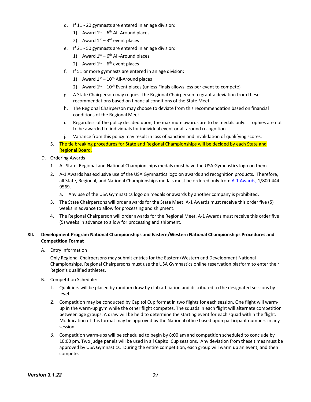- d. If 11 20 gymnasts are entered in an age division:
	- 1) Award  $1<sup>st</sup> 6<sup>th</sup>$  All-Around places
	- 2) Award  $1^{st} 3^{rd}$  event places
- e. If 21 50 gymnasts are entered in an age division:
	- 1) Award  $1<sup>st</sup> 6<sup>th</sup>$  All-Around places
	- 2) Award  $1<sup>st</sup> 6<sup>th</sup>$  event places
- f. If 51 or more gymnasts are entered in an age division:
	- 1) Award  $1^{st} 10^{th}$  All-Around places
	- 2) Award  $1^{st}$   $10^{th}$  Event places (unless Finals allows less per event to compete)
- g. A State Chairperson may request the Regional Chairperson to grant a deviation from these recommendations based on financial conditions of the State Meet.
- h. The Regional Chairperson may choose to deviate from this recommendation based on financial conditions of the Regional Meet.
- i. Regardless of the policy decided upon, the maximum awards are to be medals only. Trophies are not to be awarded to individuals for individual event or all-around recognition.
- j. Variance from this policy may result in loss of Sanction and invalidation of qualifying scores.
- 5. The tie breaking procedures for State and Regional Championships will be decided by each State and Regional Board.
- D. Ordering Awards
	- 1. All State, Regional and National Championships medals must have the USA Gymnastics logo on them.
	- 2. A-1 Awards has exclusive use of the USA Gymnastics logo on awards and recognition products. Therefore, all State, Regional, and National Championships medals must be ordered only from A-1 Awards, 1/800-444- 9569.
		- a. Any use of the USA Gymnastics logo on medals or awards by another company is prohibited.
	- 3. The State Chairpersons will order awards for the State Meet. A-1 Awards must receive this order five (5) weeks in advance to allow for processing and shipment.
	- 4. The Regional Chairperson will order awards for the Regional Meet. A-1 Awards must receive this order five (5) weeks in advance to allow for processing and shipment.

# **XII. Development Program National Championships and Eastern/Western National Championships Procedures and Competition Format**

A. Entry Information

Only Regional Chairpersons may submit entries for the Eastern/Western and Development National Championships. Regional Chairpersons must use the USA Gymnastics online reservation platform to enter their Region's qualified athletes.

- B. Competition Schedule:
	- 1. Qualifiers will be placed by random draw by club affiliation and distributed to the designated sessions by level.
	- 2. Competition may be conducted by Capitol Cup format in two flights for each session. One flight will warmup in the warm-up gym while the other flight competes. The squads in each flight will alternate competition between age groups. A draw will be held to determine the starting event for each squad within the flight. Modification of this format may be approved by the National office based upon participant numbers in any session.
	- 3. Competition warm-ups will be scheduled to begin by 8:00 am and competition scheduled to conclude by 10:00 pm. Two judge panels will be used in all Capitol Cup sessions. Any deviation from these times must be approved by USA Gymnastics. During the entire competition, each group will warm up an event, and then compete.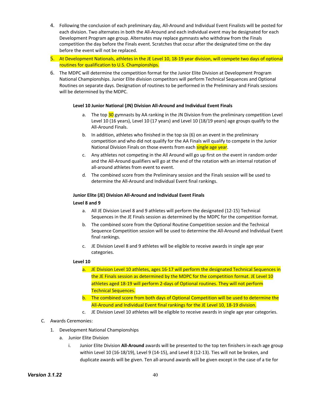- 4. Following the conclusion of each preliminary day, All-Around and Individual Event Finalists will be posted for each division. Two alternates in both the All-Around and each individual event may be designated for each Development Program age group. Alternates may replace gymnasts who withdraw from the Finals competition the day before the Finals event. Scratches that occur after the designated time on the day before the event will not be replaced.
- 5. At Development Nationals, athletes in the JE Level 10, 18-19 year division, will compete two days of optional routines for qualification to U.S. Championships.
- 6. The MDPC will determine the competition format for the Junior Elite Division at Development Program National Championships. Junior Elite division competitors will perform Technical Sequences and Optional Routines on separate days. Designation of routines to be performed in the Preliminary and Finals sessions will be determined by the MDPC.

#### **Level 10 Junior National (JN) Division All-Around and Individual Event Finals**

- a. The top 30 gymnasts by AA ranking in the JN Division from the preliminary competition Level Level 10 (16 years), Level 10 (17 years) and Level 10 (18/19 years) age groups qualify to the All-Around Finals.
- b. In addition, athletes who finished in the top six (6) on an event in the preliminary competition and who did not qualify for the AA Finals will qualify to compete in the Junior National Division Finals on those events from each single age year.
- c. Any athletes not competing in the All Around will go up first on the event in random order and the All-Around qualifiers will go at the end of the rotation with an internal rotation of all-around athletes from event to event.
- d. The combined score from the Preliminary session and the Finals session will be used to determine the All-Around and Individual Event final rankings.

#### **Junior Elite (JE) Division All-Around and Individual Event Finals**

#### **Level 8 and 9**

- a. All JE Division Level 8 and 9 athletes will perform the designated (12-15) Technical Sequences in the JE Finals session as determined by the MDPC for the competition format.
- b. The combined score from the Optional Routine Competition session and the Technical Sequence Competition session will be used to determine the All-Around and Individual Event final rankings.
- c. JE Division Level 8 and 9 athletes will be eligible to receive awards in single age year categories.

#### **Level 10**

- a. JE Division Level 10 athletes, ages 16-17 will perform the designated Technical Sequences in the JE Finals session as determined by the MDPC for the competition format. JE Level 10 athletes aged 18-19 will perform 2-days of Optional routines. They will not perform Technical Sequences.
- b. The combined score from both days of Optional Competition will be used to determine the All-Around and Individual Event final rankings for the JE Level 10, 18-19 division.
- c. JE Division Level 10 athletes will be eligible to receive awards in single age year categories.

# C. Awards Ceremonies:

- 1. Development National Championships
	- a. Junior Elite Division
		- i. Junior Elite Division **All-Around** awards will be presented to the top ten finishers in each age group within Level 10 (16-18/19), Level 9 (14-15), and Level 8 (12-13). Ties will not be broken, and duplicate awards will be given. Ten all-around awards will be given except in the case of a tie for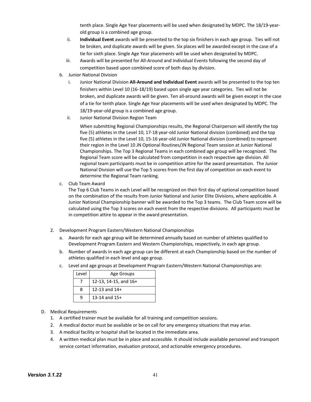tenth place. Single Age Year placements will be used when designated by MDPC. The 18/19-yearold group is a combined age group.

- ii. **Individual Event** awards will be presented to the top six finishers in each age group. Ties will not be broken, and duplicate awards will be given. Six places will be awarded except in the case of a tie for sixth place. Single Age Year placements will be used when designated by MDPC.
- iii. Awards will be presented for All-Around and Individual Events following the second day of competition based upon combined score of both days by division.
- b. Junior National Division
	- i. Junior National Division **All-Around and Individual Event** awards will be presented to the top ten finishers within Level 10 (16-18/19) based upon single age year categories. Ties will not be broken, and duplicate awards will be given. Ten all-around awards will be given except in the case of a tie for tenth place. Single Age Year placements will be used when designated by MDPC. The 18/19-year-old group is a combined age group.
	- ii. Junior National Division Region Team

When submitting Regional Championships results, the Regional Chairperson will identify the top five (5) athletes in the Level 10, 17-18 year-old Junior National division (combined) and the top five (5) athletes in the Level 10, 15-16 year-old Junior National division (combined) to represent their region in the Level 10 JN Optional Routines/JN Regional Team session at Junior National Championships. The Top 3 Regional Teams in each combined age group will be recognized. The Regional Team score will be calculated from competition in each respective age division. All regional team participants must be in competition attire for the award presentation. The Junior National Division will use the Top 5 scores from the first day of competition on each event to determine the Regional Team ranking.

c. Club Team Award

The Top 6 Club Teams in each Level will be recognized on their first day of optional competition based on the combination of the results from Junior National and Junior Elite Divisions, where applicable. A Junior National Championship banner will be awarded to the Top 3 teams. The Club Team score will be calculated using the Top 3 scores on each event from the respective divisions. All participants must be in competition attire to appear in the award presentation.

- 2. Development Program Eastern/Western National Championships
	- a. Awards for each age group will be determined annually based on number of athletes qualified to Development Program Eastern and Western Championships, respectively, in each age group.
	- b. Number of awards in each age group can be different at each Championship based on the number of athletes qualified in each level and age group.
	- c. Level and age groups at Development Program Eastern/Western National Championships are:

| Level | Age Groups              |
|-------|-------------------------|
|       | 12-13, 14-15, and $16+$ |
|       | 12-13 and $14+$         |
|       | 13-14 and $15+$         |

- D. Medical Requirements
	- 1. A certified trainer must be available for all training and competition sessions.
	- 2. A medical doctor must be available or be on call for any emergency situations that may arise.
	- 3. A medical facility or hospital shall be located in the immediate area.
	- 4. A written medical plan must be in place and accessible. It should include available personnel and transport service contact information, evaluation protocol, and actionable emergency procedures.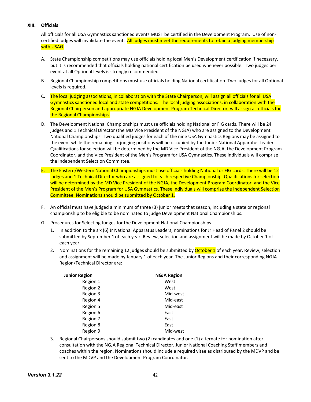# **XIII. Officials**

All officials for all USA Gymnastics sanctioned events MUST be certified in the Development Program. Use of noncertified judges will invalidate the event. All judges must meet the requirements to retain a judging membership with USAG.

- A. State Championship competitions may use officials holding local Men's Development certification if necessary, but it is recommended that officials holding national certification be used whenever possible. Two judges per event at all Optional levels is strongly recommended.
- B. Regional Championship competitions must use officials holding National certification. Two judges for all Optional levels is required.
- C. The local judging associations, in collaboration with the State Chairperson, will assign all officials for all USA Gymnastics sanctioned local and state competitions. The local judging associations, in collaboration with the Regional Chairperson and appropriate NGJA Development Program Technical Director, will assign all officials for the Regional Championships.
- D. The Development National Championships must use officials holding National or FIG cards. There will be 24 judges and 1 Technical Director (the MD Vice President of the NGJA) who are assigned to the Development National Championships. Two qualified judges for each of the nine USA Gymnastics Regions may be assigned to the event while the remaining six judging positions will be occupied by the Junior National Apparatus Leaders. Qualifications for selection will be determined by the MD Vice President of the NGJA, the Development Program Coordinator, and the Vice President of the Men's Program for USA Gymnastics. These individuals will comprise the Independent Selection Committee.
- E. The Eastern/Western National Championships must use officials holding National or FIG cards. There will be 12 judges and 1 Technical Director who are assigned to each respective Championship. Qualifications for selection will be determined by the MD Vice President of the NGJA, the Development Program Coordinator, and the Vice President of the Men's Program for USA Gymnastics. These individuals will comprise the Independent Selection Committee. Nominations should be submitted by October 1.
- F. An official must have judged a minimum of three (3) junior meets that season, including a state or regional championship to be eligible to be nominated to judge Development National Championships.
- G. Procedures for Selecting Judges for the Development National Championships
	- 1. In addition to the six (6) Jr National Apparatus Leaders, nominations for Jr Head of Panel 2 should be submitted by September 1 of each year. Review, selection and assignment will be made by October 1 of each year.
	- 2. Nominations for the remaining 12 judges should be submitted by **October 1** of each year. Review, selection and assignment will be made by January 1 of each year. The Junior Regions and their corresponding NGJA Region/Technical Director are:

| <b>Junior Region</b> | <b>NGJA Region</b> |
|----------------------|--------------------|
| Region 1             | West               |
| Region 2             | West               |
| Region 3             | Mid-west           |
| Region 4             | Mid-east           |
| Region 5             | Mid-east           |
| Region 6             | East               |
| Region 7             | East               |
| Region 8             | East               |
| Region 9             | Mid-west           |

3. Regional Chairpersons should submit two (2) candidates and one (1) alternate for nomination after consultation with the NGJA Regional Technical Director, Junior National Coaching Staff members and coaches within the region. Nominations should include a required vitae as distributed by the MDVP and be sent to the MDVP and the Development Program Coordinator.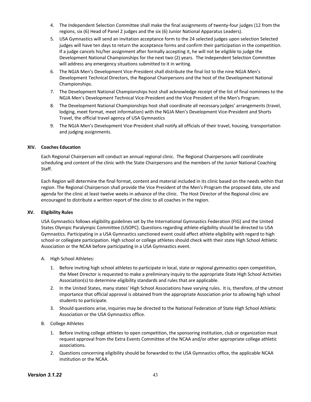- 4. The Independent Selection Committee shall make the final assignments of twenty-four judges (12 from the regions, six (6) Head of Panel 2 judges and the six (6) Junior National Apparatus Leaders).
- 5. USA Gymnastics will send an invitation acceptance form to the 24 selected judges upon selection Selected judges will have ten days to return the acceptance forms and confirm their participation in the competition. If a judge cancels his/her assignment after formally accepting it, he will not be eligible to judge the Development National Championships for the next two (2) years. The Independent Selection Committee will address any emergency situations submitted to it in writing.
- 6. The NGJA Men's Development Vice-President shall distribute the final list to the nine NGJA Men's Development Technical Directors, the Regional Chairpersons and the host of the Development National Championships.
- 7. The Development National Championships host shall acknowledge receipt of the list of final nominees to the NGJA Men's Development Technical Vice-President and the Vice President of the Men's Program.
- 8. The Development National Championships host shall coordinate all necessary judges' arrangements (travel, lodging, meet format, meet information) with the NGJA Men's Development Vice-President and Shorts Travel, the official travel agency of USA Gymnastics
- 9. The NGJA Men's Development Vice-President shall notify all officials of their travel, housing, transportation and judging assignments.

#### **XIV. Coaches Education**

Each Regional Chairperson will conduct an annual regional clinic. The Regional Chairpersons will coordinate scheduling and content of the clinic with the State Chairpersons and the members of the Junior National Coaching Staff.

Each Region will determine the final format, content and material included in its clinic based on the needs within that region. The Regional Chairperson shall provide the Vice President of the Men's Program the proposed date, site and agenda for the clinic at least twelve weeks in advance of the clinic. The Host Director of the Regional clinic are encouraged to distribute a written report of the clinic to all coaches in the region.

#### **XV. Eligibility Rules**

USA Gymnastics follows eligibility guidelines set by the International Gymnastics Federation (FIG) and the United States Olympic Paralympic Committee (USOPC). Questions regarding athlete eligibility should be directed to USA Gymnastics. Participating in a USA Gymnastics sanctioned event could affect athlete eligibility with regard to high school or collegiate participation. High school or college athletes should check with their state High School Athletic Association or the NCAA before participating in a USA Gymnastics event.

- A. High School Athletes:
	- 1. Before inviting high school athletes to participate in local, state or regional gymnastics open competition, the Meet Director is requested to make a preliminary inquiry to the appropriate State High School Activities Association(s) to determine eligibility standards and rules that are applicable.
	- 2. In the United States, many states' High School Associations have varying rules. It is, therefore, of the utmost importance that official approval is obtained from the appropriate Association prior to allowing high school students to participate.
	- 3. Should questions arise, inquiries may be directed to the National Federation of State High School Athletic Association or the USA Gymnastics office.
- B. College Athletes
	- 1. Before inviting college athletes to open competition, the sponsoring institution, club or organization must request approval from the Extra Events Committee of the NCAA and/or other appropriate college athletic associations.
	- 2. Questions concerning eligibility should be forwarded to the USA Gymnastics office, the applicable NCAA institution or the NCAA.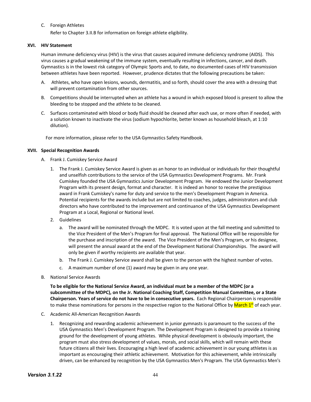### C. Foreign Athletes

Refer to Chapter 3.II.B for information on foreign athlete eligibility.

# **XVI. HIV Statement**

Human immune deficiency virus (HIV) is the virus that causes acquired immune deficiency syndrome (AIDS). This virus causes a gradual weakening of the immune system, eventually resulting in infections, cancer, and death. Gymnastics is in the lowest risk category of Olympic Sports and, to date, no documented cases of HIV transmission between athletes have been reported. However, prudence dictates that the following precautions be taken:

- A. Athletes, who have open lesions, wounds, dermatitis, and so forth, should cover the area with a dressing that will prevent contamination from other sources.
- B. Competitions should be interrupted when an athlete has a wound in which exposed blood is present to allow the bleeding to be stopped and the athlete to be cleaned.
- C. Surfaces contaminated with blood or body fluid should be cleaned after each use, or more often if needed, with a solution known to inactivate the virus (sodium hypochlorite, better known as household bleach, at 1:10 dilution).

For more information, please refer to the USA Gymnastics Safety Handbook.

#### **XVII. Special Recognition Awards**

- A. Frank J. Cumiskey Service Award
	- 1. The Frank J. Cumiskey Service Award is given as an honor to an individual or individuals for their thoughtful and unselfish contributions to the service of the USA Gymnastics Development Programs. Mr. Frank Cumiskey founded the USA Gymnastics Junior Development Program. He endowed the Junior Development Program with its present design, format and character. It is indeed an honor to receive the prestigious award in Frank Cumiskey's name for duty and service to the men's Development Program in America. Potential recipients for the awards include but are not limited to coaches, judges, administrators and club directors who have contributed to the improvement and continuance of the USA Gymnastics Development Program at a Local, Regional or National level.
	- 2. Guidelines
		- a. The award will be nominated through the MDPC. It is voted upon at the fall meeting and submitted to the Vice President of the Men's Program for final approval. The National Office will be responsible for the purchase and inscription of the award. The Vice President of the Men's Program, or his designee, will present the annual award at the end of the Development National Championships. The award will only be given if worthy recipients are available that year.
		- b. The Frank J. Cumiskey Service award shall be given to the person with the highest number of votes.
		- c. A maximum number of one (1) award may be given in any one year.
- B. National Service Awards

**To be eligible for the National Service Award, an individual must be a member of the MDPC (or a subcommittee of the MDPC), on the Jr. National Coaching Staff, Competition Manual Committee, or a State Chairperson. Years of service do not have to be in consecutive years.** Each Regional Chairperson is responsible to make these nominations for persons in the respective region to the National Office by March 1<sup>st</sup> of each year.

- C. Academic All-American Recognition Awards
	- 1. Recognizing and rewarding academic achievement in junior gymnasts is paramount to the success of the USA Gymnastics Men's Development Program. The Development Program is designed to provide a training ground for the development of young athletes. While physical development is obviously important, the program must also stress development of values, morals, and social skills, which will remain with these future citizens all their lives. Encouraging a high level of academic achievement in our young athletes is as important as encouraging their athletic achievement. Motivation for this achievement, while intrinsically driven, can be enhanced by recognition by the USA Gymnastics Men's Program. The USA Gymnastics Men's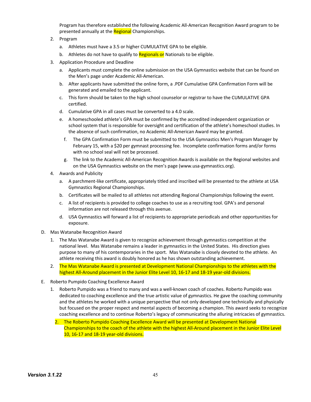Program has therefore established the following Academic All-American Recognition Award program to be presented annually at the Regional Championships.

- 2. Program
	- a. Athletes must have a 3.5 or higher CUMULATIVE GPA to be eligible.
	- b. Athletes do not have to qualify to **Regionals or** Nationals to be eligible.
- 3. Application Procedure and Deadline
	- a. Applicants must complete the online submission on the USA Gymnastics website that can be found on the Men's page under Academic All-American.
	- b. After applicants have submitted the online form, a .PDF Cumulative GPA Confirmation Form will be generated and emailed to the applicant.
	- c. This form should be taken to the high school counselor or registrar to have the CUMULATIVE GPA certified.
	- d. Cumulative GPA in all cases must be converted to a 4.0 scale.
	- e. A homeschooled athlete's GPA must be confirmed by the accredited independent organization or school system that is responsible for oversight and certification of the athlete's homeschool studies. In the absence of such confirmation, no Academic All-American Award may be granted.
		- f. The GPA Confirmation Form must be submitted to the USA Gymnastics Men's Program Manager by February 15, with a \$20 per gymnast processing fee. Incomplete confirmation forms and/or forms with no school seal will not be processed.
		- g. The link to the Academic All-American Recognition Awards is available on the Regional websites and on the USA Gymnastics website on the men's page (www.usa-gymnastics.org).
- 4. Awards and Publicity
	- a. A parchment-like certificate, appropriately titled and inscribed will be presented to the athlete at USA Gymnastics Regional Championships.
	- b. Certificates will be mailed to all athletes not attending Regional Championships following the event.
	- c. A list of recipients is provided to college coaches to use as a recruiting tool. GPA's and personal information are not released through this avenue.
	- d. USA Gymnastics will forward a list of recipients to appropriate periodicals and other opportunities for exposure.
- D. Mas Watanabe Recognition Award
	- 1. The Mas Watanabe Award is given to recognize achievement through gymnastics competition at the national level. Mas Watanabe remains a leader in gymnastics in the United States. His direction gives purpose to many of his contemporaries in the sport. Mas Watanabe is closely devoted to the athlete. An athlete receiving this award is doubly honored as he has shown outstanding achievement.
	- 2. The Mas Watanabe Award is presented at Development National Championships to the athletes with the highest All-Around placement in the Junior Elite Level 10, 16-17 and 18-19 year-old divisions.
- E. Roberto Pumpido Coaching Excellence Award
	- 1. Roberto Pumpido was a friend to many and was a well-known coach of coaches. Roberto Pumpido was dedicated to coaching excellence and the true artistic value of gymnastics. He gave the coaching community and the athletes he worked with a unique perspective that not only developed one technically and physically but focused on the proper respect and mental aspects of becoming a champion. This award seeks to recognize coaching excellence and to continue Roberto's legacy of communicating the alluring intricacies of gymnastics.
		- 2. The Roberto Pumpido Coaching Excellence Award will be presented at Development National Championships to the coach of the athlete with the highest All-Around placement in the Junior Elite Level 10, 16-17 and 18-19 year-old divisions.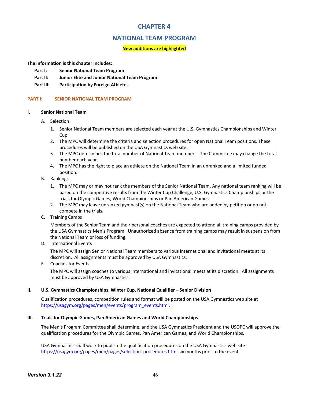# **CHAPTER 4**

# **NATIONAL TEAM PROGRAM**

# **New additions are highlighted**

**The information is this chapter includes:**

- **Part I: Senior National Team Program**
- **Part II: Junior Elite and Junior National Team Program**
- **Part III: Participation by Foreign Athletes**

# **PART I: SENIOR NATIONAL TEAM PROGRAM**

# **I. Senior National Team**

- A. Selection
	- 1. Senior National Team members are selected each year at the U.S. Gymnastics Championships and Winter Cup.
	- 2. The MPC will determine the criteria and selection procedures for open National Team positions. These procedures will be published on the USA Gymnastics web site.
	- 3. The MPC determines the total number of National Team members. The Committee may change the total number each year.
	- 4. The MPC has the right to place an athlete on the National Team in an unranked and a limited funded position.
- B. Rankings
	- 1. The MPC may or may not rank the members of the Senior National Team. Any national team ranking will be based on the competitive results from the Winter Cup Challenge, U.S. Gymnastics Championships or the trials for Olympic Games, World Championships or Pan American Games
	- 2. The MPC may leave unranked gymnast(s) on the National Team who are added by petition or do not compete in the trials.
- C. Training Camps

Members of the Senior Team and their personal coaches are expected to attend all training camps provided by the USA Gymnastics Men's Program. Unauthorized absence from training camps may result in suspension from the National Team or loss of funding.

D. International Events

The MPC will assign Senior National Team members to various international and invitational meets at its discretion. All assignments must be approved by USA Gymnastics.

E. Coaches for Events

The MPC will assign coaches to various international and invitational meets at its discretion. All assignments must be approved by USA Gymnastics.

#### **II. U.S. Gymnastics Championships, Winter Cup, National Qualifier – Senior Division**

Qualification procedures, competition rules and format will be posted on the USA Gymnastics web site at https://usagym.org/pages/men/events/program\_events.html.

#### **III. Trials for Olympic Games, Pan American Games and World Championships**

The Men's Program Committee shall determine, and the USA Gymnastics President and the USOPC will approve the qualification procedures for the Olympic Games, Pan American Games, and World Championships.

USA Gymnastics shall work to publish the qualification procedures on the USA Gymnastics web site https://usagym.org/pages/men/pages/selection\_procedures.html six months prior to the event.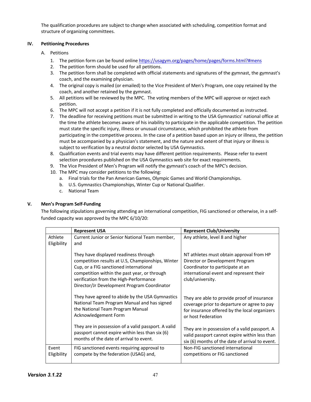The qualification procedures are subject to change when associated with scheduling, competition format and structure of organizing committees.

# **IV. Petitioning Procedures**

- A. Petitions
	- 1. The petition form can be found online https://usagym.org/pages/home/pages/forms.html?#mens
	- 2. The petition form should be used for all petitions.
	- 3. The petition form shall be completed with official statements and signatures of the gymnast, the gymnast's coach, and the examining physician.
	- 4. The original copy is mailed (or emailed) to the Vice President of Men's Program, one copy retained by the coach, and another retained by the gymnast.
	- 5. All petitions will be reviewed by the MPC. The voting members of the MPC will approve or reject each petition.
	- 6. The MPC will not accept a petition if it is not fully completed and officially documented as instructed.
	- 7. The deadline for receiving petitions must be submitted in writing to the USA Gymnastics' national office at the time the athlete becomes aware of his inability to participate in the applicable competition. The petition must state the specific injury, illness or unusual circumstance, which prohibited the athlete from participating in the competitive process. In the case of a petition based upon an injury or illness, the petition must be accompanied by a physician's statement, and the nature and extent of that injury or illness is subject to verification by a neutral doctor selected by USA Gymnastics.
	- 8. Qualification events and trial events may have different petition requirements. Please refer to event selection procedures published on the USA Gymnastics web site for exact requirements.
	- 9. The Vice President of Men's Program will notify the gymnast's coach of the MPC's decision.
	- 10. The MPC may consider petitions to the following:
		- a. Final trials for the Pan American Games, Olympic Games and World Championships.
		- b. U.S. Gymnastics Championships, Winter Cup or National Qualifier.
		- c. National Team

# **V. Men's Program Self-Funding**

The following stipulations governing attending an international competition, FIG sanctioned or otherwise, in a selffunded capacity was approved by the MPC 6/10/20:

|                        | <b>Represent USA</b>                                                                                                                                                                                                                                                          | <b>Represent Club/University</b>                                                                                                                                               |
|------------------------|-------------------------------------------------------------------------------------------------------------------------------------------------------------------------------------------------------------------------------------------------------------------------------|--------------------------------------------------------------------------------------------------------------------------------------------------------------------------------|
| Athlete<br>Eligibility | Current Junior or Senior National Team member,<br>and                                                                                                                                                                                                                         | Any athlete, level 8 and higher                                                                                                                                                |
|                        | They have displayed readiness through<br>competition results at U.S, Championships, Winter<br>Cup, or a FIG sanctioned international<br>competition within the past year, or through<br>verification from the High-Performance<br>Director/Jr Development Program Coordinator | NT athletes must obtain approval from HP<br>Director or Development Program<br>Coordinator to participate at an<br>international event and represent their<br>club/university. |
|                        | They have agreed to abide by the USA Gymnastics<br>National Team Program Manual and has signed<br>the National Team Program Manual<br>Acknowledgement Form                                                                                                                    | They are able to provide proof of insurance<br>coverage prior to departure or agree to pay<br>for insurance offered by the local organizers<br>or host Federation              |
|                        | They are in possession of a valid passport. A valid<br>passport cannot expire within less than six (6)<br>months of the date of arrival to event.                                                                                                                             | They are in possession of a valid passport. A<br>valid passport cannot expire within less than<br>six (6) months of the date of arrival to event.                              |
| Event<br>Eligibility   | FIG sanctioned events requiring approval to<br>compete by the federation (USAG) and,                                                                                                                                                                                          | Non-FIG sanctioned international<br>competitions or FIG sanctioned                                                                                                             |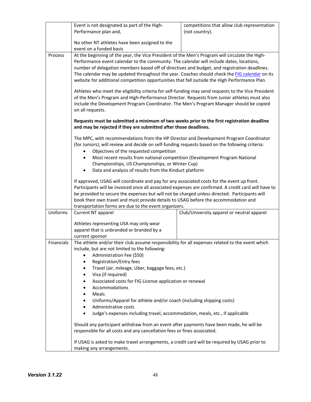|            | Event is not designated as part of the High-                                                                                                                                             | competitions that allow club representation |  |  |
|------------|------------------------------------------------------------------------------------------------------------------------------------------------------------------------------------------|---------------------------------------------|--|--|
|            | Performance plan and,                                                                                                                                                                    | (not country).                              |  |  |
|            |                                                                                                                                                                                          |                                             |  |  |
|            | No other NT athletes have been assigned to the                                                                                                                                           |                                             |  |  |
|            | event on a funded basis                                                                                                                                                                  |                                             |  |  |
| Process    | At the beginning of the year, the Vice President of the Men's Program will circulate the High-                                                                                           |                                             |  |  |
|            | Performance event calendar to the community. The calendar will include dates, locations,<br>number of delegation members based off of directives and budget, and registration deadlines. |                                             |  |  |
|            | The calendar may be updated throughout the year. Coaches should check the FIG calendar on its                                                                                            |                                             |  |  |
|            | website for additional competition opportunities that fall outside the High Performance Plan.                                                                                            |                                             |  |  |
|            |                                                                                                                                                                                          |                                             |  |  |
|            | Athletes who meet the eligibility criteria for self-funding may send requests to the Vice President                                                                                      |                                             |  |  |
|            | of the Men's Program and High-Performance Director. Requests from Junior athletes must also                                                                                              |                                             |  |  |
|            | include the Development Program Coordinator. The Men's Program Manager should be copied                                                                                                  |                                             |  |  |
|            | on all requests.                                                                                                                                                                         |                                             |  |  |
|            |                                                                                                                                                                                          |                                             |  |  |
|            | Requests must be submitted a minimum of two weeks prior to the first registration deadline<br>and may be rejected if they are submitted after those deadlines.                           |                                             |  |  |
|            |                                                                                                                                                                                          |                                             |  |  |
|            | The MPC, with recommendations from the HP Director and Development Program Coordinator                                                                                                   |                                             |  |  |
|            | (for Juniors), will review and decide on self-funding requests based on the following criteria:                                                                                          |                                             |  |  |
|            | Objectives of the requested competition                                                                                                                                                  |                                             |  |  |
|            | Most recent results from national competition (Development Program National                                                                                                              |                                             |  |  |
|            | Championships, US Championships, or Winter Cup)                                                                                                                                          |                                             |  |  |
|            | Data and analysis of results from the Kinduct platform<br>٠                                                                                                                              |                                             |  |  |
|            | If approved, USAG will coordinate and pay for any associated costs for the event up front.                                                                                               |                                             |  |  |
|            | Participants will be invoiced once all associated expenses are confirmed. A credit card will have to                                                                                     |                                             |  |  |
|            | be provided to secure the expenses but will not be charged unless directed. Participants will                                                                                            |                                             |  |  |
|            | book their own travel and must provide details to USAG before the accommodation and                                                                                                      |                                             |  |  |
|            | transportation forms are due to the event organizers.                                                                                                                                    |                                             |  |  |
| Uniforms   | Current NT apparel                                                                                                                                                                       | Club/University apparel or neutral apparel  |  |  |
|            |                                                                                                                                                                                          |                                             |  |  |
|            | Athletes representing USA may only wear                                                                                                                                                  |                                             |  |  |
|            | apparel that is unbranded or branded by a<br>current sponsor                                                                                                                             |                                             |  |  |
| Financials | The athlete and/or their club assume responsibility for all expenses related to the event which                                                                                          |                                             |  |  |
|            | include, but are not limited to the following:                                                                                                                                           |                                             |  |  |
|            | Administration Fee (\$50)<br>$\bullet$                                                                                                                                                   |                                             |  |  |
|            | Registration/Entry fees<br>٠                                                                                                                                                             |                                             |  |  |
|            | Travel (air, mileage, Uber, baggage fees, etc.)<br>٠                                                                                                                                     |                                             |  |  |
|            | Visa (if required)<br>$\bullet$                                                                                                                                                          |                                             |  |  |
|            | Associated costs for FIG License application or renewal                                                                                                                                  |                                             |  |  |
|            | Accommodations                                                                                                                                                                           |                                             |  |  |
|            | Meals<br>$\bullet$                                                                                                                                                                       |                                             |  |  |
|            | Uniforms/Apparel for athlete and/or coach (including shipping costs)                                                                                                                     |                                             |  |  |
|            | Administrative costs<br>٠                                                                                                                                                                |                                             |  |  |
|            | Judge's expenses including travel, accommodation, meals, etc., if applicable<br>$\bullet$                                                                                                |                                             |  |  |
|            |                                                                                                                                                                                          |                                             |  |  |
|            | Should any participant withdraw from an event after payments have been made, he will be                                                                                                  |                                             |  |  |
|            | responsible for all costs and any cancellation fees or fines associated.                                                                                                                 |                                             |  |  |
|            | If USAG is asked to make travel arrangements, a credit card will be required by USAG prior to                                                                                            |                                             |  |  |
|            | making any arrangements.                                                                                                                                                                 |                                             |  |  |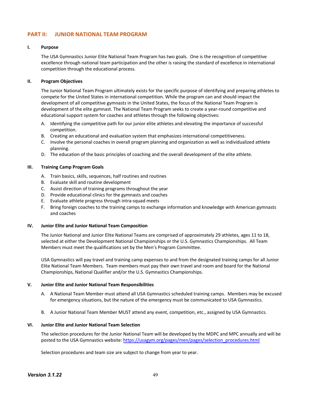# **PART II: JUNIOR NATIONAL TEAM PROGRAM**

## **I. Purpose**

The USA Gymnastics Junior Elite National Team Program has two goals. One is the recognition of competitive excellence through national team participation and the other is raising the standard of excellence in international competition through the educational process.

## **II. Program Objectives**

The Junior National Team Program ultimately exists for the specific purpose of identifying and preparing athletes to compete for the United States in international competition. While the program can and should impact the development of all competitive gymnasts in the United States, the focus of the National Team Program is development of the elite gymnast. The National Team Program seeks to create a year-round competitive and educational support system for coaches and athletes through the following objectives:

- A. Identifying the competitive path for our junior elite athletes and elevating the importance of successful competition.
- B. Creating an educational and evaluation system that emphasizes international competitiveness.
- C. Involve the personal coaches in overall program planning and organization as well as individualized athlete planning.
- D. The education of the basic principles of coaching and the overall development of the elite athlete.

#### **III. Training Camp Program Goals**

- A. Train basics, skills, sequences, half routines and routines
- B. Evaluate skill and routine development
- C. Assist direction of training programs throughout the year
- D. Provide educational clinics for the gymnasts and coaches
- E. Evaluate athlete progress through intra-squad meets
- F. Bring foreign coaches to the training camps to exchange information and knowledge with American gymnasts and coaches

#### **IV. Junior Elite and Junior National Team Composition**

The Junior National and Junior Elite National Teams are comprised of approximately 29 athletes, ages 11 to 18, selected at either the Development National Championships or the U.S. Gymnastics Championships. All Team Members must meet the qualifications set by the Men's Program Committee.

USA Gymnastics will pay travel and training camp expenses to and from the designated training camps for all Junior Elite National Team Members. Team members must pay their own travel and room and board for the National Championships, National Qualifier and/or the U.S. Gymnastics Championships.

#### **V. Junior Elite and Junior National Team Responsibilities**

- A. A National Team Member must attend all USA Gymnastics scheduled training camps. Members may be excused for emergency situations, but the nature of the emergency must be communicated to USA Gymnastics.
- B. A Junior National Team Member MUST attend any event, competition, etc., assigned by USA Gymnastics.

#### **VI. Junior Elite and Junior National Team Selection**

The selection procedures for the Junior National Team will be developed by the MDPC and MPC annually and will be posted to the USA Gymnastics website: https://usagym.org/pages/men/pages/selection\_procedures.html

Selection procedures and team size are subject to change from year to year.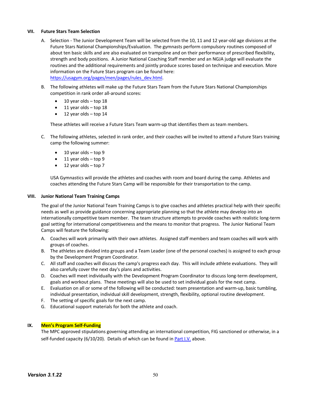#### **VII. Future Stars Team Selection**

- A. Selection The Junior Development Team will be selected from the 10, 11 and 12 year-old age divisions at the Future Stars National Championships/Evaluation. The gymnasts perform compulsory routines composed of about ten basic skills and are also evaluated on trampoline and on their performance of prescribed flexibility, strength and body positions. A Junior National Coaching Staff member and an NGJA judge will evaluate the routines and the additional requirements and jointly produce scores based on technique and execution. More information on the Future Stars program can be found here: https://usagym.org/pages/men/pages/rules\_dev.html.
- B. The following athletes will make up the Future Stars Team from the Future Stars National Championships competition in rank order all-around scores:
	- $\bullet$  10 year olds top 18
	- $\bullet$  11 year olds top 18
	- $\bullet$  12 year olds top 14

These athletes will receive a Future Stars Team warm-up that identifies them as team members.

- C. The following athletes, selected in rank order, and their coaches will be invited to attend a Future Stars training camp the following summer:
	- 10 year olds top 9
	- 11 year olds top 9
	- $\bullet$  12 year olds top 7

USA Gymnastics will provide the athletes and coaches with room and board during the camp. Athletes and coaches attending the Future Stars Camp will be responsible for their transportation to the camp.

#### **VIII. Junior National Team Training Camps**

The goal of the Junior National Team Training Camps is to give coaches and athletes practical help with their specific needs as well as provide guidance concerning appropriate planning so that the athlete may develop into an internationally competitive team member. The team structure attempts to provide coaches with realistic long-term goal setting for international competitiveness and the means to monitor that progress. The Junior National Team Camps will feature the following:

- A. Coaches will work primarily with their own athletes. Assigned staff members and team coaches will work with groups of coaches.
- B. The athletes are divided into groups and a Team Leader (one of the personal coaches) is assigned to each group by the Development Program Coordinator.
- C. All staff and coaches will discuss the camp's progress each day. This will include athlete evaluations. They will also carefully cover the next day's plans and activities.
- D. Coaches will meet individually with the Development Program Coordinator to discuss long-term development, goals and workout plans. These meetings will also be used to set individual goals for the next camp.
- E. Evaluation on all or some of the following will be conducted: team presentation and warm-up, basic tumbling, individual presentation, individual skill development, strength, flexibility, optional routine development.
- F. The setting of specific goals for the next camp.
- G. Educational support materials for both the athlete and coach.

# **IX. Men's Program Self-Funding**

The MPC approved stipulations governing attending an international competition, FIG sanctioned or otherwise, in a self-funded capacity (6/10/20). Details of which can be found in Part I.V. above.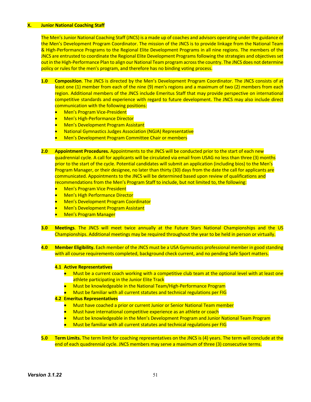#### **X. Junior National Coaching Staff**

The Men's Junior National Coaching Staff (JNCS) is a made up of coaches and advisors operating under the guidance of the Men's Development Program Coordinator. The mission of the JNCS is to provide linkage from the National Team & High-Performance Programs to the Regional Elite Development Programs in all nine regions. The members of the JNCS are entrusted to coordinate the Regional Elite Development Programs following the strategies and objectives set out in the High-Performance Plan to align our National Team program across the country. The JNCS does not determine policy or rules for the men's program, and therefore has no binding voting process.

- **1.0 Composition**. The JNCS is directed by the Men's Development Program Coordinator. The JNCS consists of at least one (1) member from each of the nine (9) men's regions and a maximum of two (2) members from each region. Additional members of the JNCS include Emeritus Staff that may provide perspective on international competitive standards and experience with regard to future development. The JNCS may also include direct communication with the following positions:
	- Men's Program Vice-President
	- Men's High-Performance Director
	- Men's Development Program Assistant
	- National Gymnastics Judges Association (NGJA) Representative
	- Men's Development Program Committee Chair or members
- **2.0 Appointment Procedures.** Appointments to the JNCS will be conducted prior to the start of each new quadrennial cycle. A call for applicants will be circulated via email from USAG no less than three (3) months prior to the start of the cycle. Potential candidates will submit an application (including bios) to the Men's Program Manager, or their designee, no later than thirty (30) days from the date the call for applicants are communicated. Appointments to the JNCS will be determined based upon review of qualifications and recommendations from the Men's Program Staff to include, but not limited to, the following:
	- Men's Program Vice President
	- Men's High Performance Director
	- Men's Development Program Coordinator
	- Men's Development Program Assistant
	- Men's Program Manager
- **3.0 Meetings**. The JNCS will meet twice annually at the Future Stars National Championships and the US Championships. Additional meetings may be required throughout the year to be held in person or virtually.
- **4.0 Member Eligibility.** Each member of the JNCS must be a USA Gymnastics professional member in good standing with all course requirements completed, background check current, and no pending Safe Sport matters.

#### **4.1 Active Representatives**

- Must be a current coach working with a competitive club team at the optional level with at least one athlete participating in the Junior Elite Track
- Must be knowledgeable in the National Team/High-Performance Program
- Must be familiar with all current statutes and technical regulations per FIG

#### **4.2 Emeritus Representatives**

- Must have coached a prior or current Junior or Senior National Team member
- Must have international competitive experience as an athlete or coach
- Must be knowledgeable in the Men's Development Program and Junior National Team Program
- Must be familiar with all current statutes and technical regulations per FIG
- **5.0 Term Limits.** The term limit for coaching representatives on the JNCS is (4) years. The term will conclude at the end of each quadrennial cycle. JNCS members may serve a maximum of three (3) consecutive terms.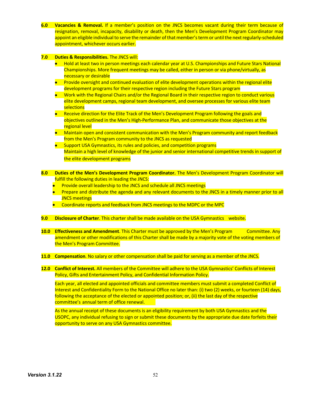**6.0 Vacancies & Removal.** If a member's position on the JNCS becomes vacant during their term because of resignation, removal, incapacity, disability or death, then the Men's Development Program Coordinator may appoint an eligible individual to serve the remainder of that member's term or until the next regularly-scheduled appointment, whichever occurs earlier.

#### **7.0 Duties & Responsibilities.** The JNCS will:

- Hold at least two in person meetings each calendar year at U.S. Championships and Future Stars National Championships. More frequent meetings may be called, either in person or via phone/virtually, as necessary or desirable
- Provide oversight and continued evaluation of elite development operations within the regional elite development programs for their respective region including the Future Stars program
- Work with the Regional Chairs and/or the Regional Board in their respective region to conduct various elite development camps, regional team development, and oversee processes for various elite team selections
- Receive direction for the Elite Track of the Men's Development Program following the goals and objectives outlined in the Men's High-Performance Plan, and communicate those objectives at the regional level
- Maintain open and consistent communication with the Men's Program community and report feedback from the Men's Program community to the JNCS as requested
- Support USA Gymnastics, its rules and policies, and competition programs Maintain a high level of knowledge of the junior and senior international competitive trends in support of the elite development programs
- **8.0 Duties of the Men's Development Program Coordinator.** The Men's Development Program Coordinator will fulfill the following duties in leading the JNCS:
	- Provide overall leadership to the JNCS and schedule all JNCS meetings
	- Prepare and distribute the agenda and any relevant documents to the JNCS in a timely manner prior to all JNCS meetings
	- Coordinate reports and feedback from JNCS meetings to the MDPC or the MPC
- **9.0 Disclosure of Charter**. This charter shall be made available on the USA Gymnastics website.
- **10.0 Effectiveness and Amendment**. This Charter must be approved by the Men's Program Committee. Any amendment or other modifications of this Charter shall be made by a majority vote of the voting members of the Men's Program Committee.
- **11.0 Compensation**. No salary or other compensation shall be paid for serving as a member of the JNCS.
- **12.0 Conflict of Interest.** All members of the Committee will adhere to the USA Gymnastics' Conflicts of Interest Policy, Gifts and Entertainment Policy, and Confidential Information Policy.

Each year, all elected and appointed officials and committee members must submit a completed Conflict of Interest and Confidentiality Form to the National Office no later than: (i) two (2) weeks, or fourteen (14) days, following the acceptance of the elected or appointed position; or, (ii) the last day of the respective committee's annual term of office renewal.

As the annual receipt of these documents is an eligibility requirement by both USA Gymnastics and the USOPC, any individual refusing to sign or submit these documents by the appropriate due date forfeits their opportunity to serve on any USA Gymnastics committee.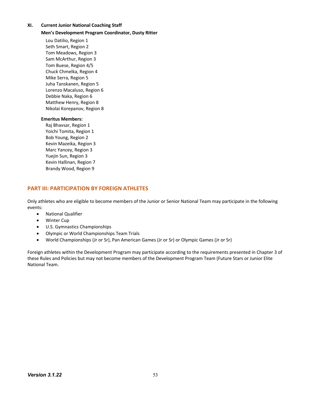## **XI. Current Junior National Coaching Staff**

#### **Men's Development Program Coordinator, Dusty Ritter**

Lou Datilio, Region 1 Seth Smart, Region 2 Tom Meadows, Region 3 Sam McArthur, Region 3 Tom Buese, Region 4/5 Chuck Chmelka, Region 4 Mike Serra, Region 5 Juha Tanskanen, Region 5 Lorenzo Macaluso, Region 6 Debbie Naka, Region 6 Matthew Henry, Region 8 Nikolai Korepanov, Region 8

#### **Emeritus Members:**

Raj Bhavsar, Region 1 Yoichi Tomita, Region 1 Bob Young, Region 2 Kevin Mazeika, Region 3 Marc Yancey, Region 3 Yuejin Sun, Region 3 Kevin Hallinan, Region 7 Brandy Wood, Region 9

# **PART III: PARTICIPATION BY FOREIGN ATHLETES**

Only athletes who are eligible to become members of the Junior or Senior National Team may participate in the following events:

- National Qualifier
- Winter Cup
- U.S. Gymnastics Championships
- Olympic or World Championships Team Trials
- World Championships (Jr or Sr), Pan American Games (Jr or Sr) or Olympic Games (Jr or Sr)

Foreign athletes within the Development Program may participate according to the requirements presented in Chapter 3 of these Rules and Policies but may not become members of the Development Program Team (Future Stars or Junior Elite National Team.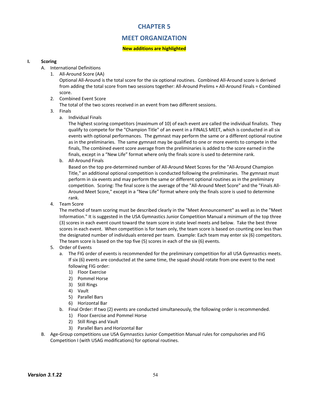# **CHAPTER 5**

# **MEET ORGANIZATION**

# **New additions are highlighted**

# **I. Scoring**

- A. International Definitions
	- 1. All-Around Score (AA)

Optional All-Around is the total score for the six optional routines. Combined All-Around score is derived from adding the total score from two sessions together: All-Around Prelims + All-Around Finals = Combined score.

2. Combined Event Score

The total of the two scores received in an event from two different sessions.

- 3. Finals
	- a. Individual Finals

The highest scoring competitors (maximum of 10) of each event are called the individual finalists. They qualify to compete for the "Champion Title" of an event in a FINALS MEET, which is conducted in all six events with optional performances. The gymnast may perform the same or a different optional routine as in the preliminaries. The same gymnast may be qualified to one or more events to compete in the finals, The combined event score average from the preliminaries is added to the score earned in the finals, except in a "New Life" format where only the finals score is used to determine rank.

b. All-Around Finals

Based on the top pre-determined number of All-Around Meet Scores for the "All-Around Champion Title," an additional optional competition is conducted following the preliminaries. The gymnast must perform in six events and may perform the same or different optional routines as in the preliminary competition. Scoring: The final score is the average of the "All-Around Meet Score" and the "Finals All-Around Meet Score," except in a "New Life" format where only the finals score is used to determine rank.

4. Team Score

The method of team scoring must be described clearly in the "Meet Announcement" as well as in the "Meet Information." It is suggested in the USA Gymnastics Junior Competition Manual a minimum of the top three (3) scores in each event count toward the team score in state level meets and below. Take the best three scores in each event. When competition is for team only, the team score is based on counting one less than the designated number of individuals entered per team. Example: Each team may enter six (6) competitors. The team score is based on the top five (5) scores in each of the six (6) events.

- 5. Order of Events
	- a. The FIG order of events is recommended for the preliminary competition for all USA Gymnastics meets. If six (6) events are conducted at the same time, the squad should rotate from one event to the next following FIG order:
		- 1) Floor Exercise
		- 2) Pommel Horse
		- 3) Still Rings
		- 4) Vault
		- 5) Parallel Bars
		- 6) Horizontal Bar
	- b. Final Order: If two (2) events are conducted simultaneously, the following order is recommended.
		- 1) Floor Exercise and Pommel Horse
		- 2) Still Rings and Vault
		- 3) Parallel Bars and Horizontal Bar
- B. Age-Group competitions use USA Gymnastics Junior Competition Manual rules for compulsories and FIG Competition I (with USAG modifications) for optional routines.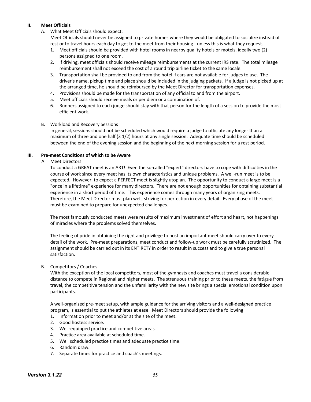# **II. Meet Officials**

A. What Meet Officials should expect:

Meet Officials should never be assigned to private homes where they would be obligated to socialize instead of rest or to travel hours each day to get to the meet from their housing - unless this is what they request.

- 1. Meet officials should be provided with hotel rooms in nearby quality hotels or motels, ideally two (2) persons assigned to one room.
- 2. If driving, meet officials should receive mileage reimbursements at the current IRS rate. The total mileage reimbursement shall not exceed the cost of a round trip airline ticket to the same locale.
- 3. Transportation shall be provided to and from the hotel if cars are not available for judges to use. The driver's name, pickup time and place should be included in the judging packets. If a judge is not picked up at the arranged time, he should be reimbursed by the Meet Director for transportation expenses.
- 4. Provisions should be made for the transportation of any official to and from the airport.
- 5. Meet officials should receive meals or per diem or a combination of.
- 6. Runners assigned to each judge should stay with that person for the length of a session to provide the most efficient work.

# B. Workload and Recovery Sessions

In general, sessions should not be scheduled which would require a judge to officiate any longer than a maximum of three and one half (3 1/2) hours at any single session. Adequate time should be scheduled between the end of the evening session and the beginning of the next morning session for a rest period.

# **III. Pre-meet Conditions of which to be Aware**

A. Meet Directors

To conduct a GREAT meet is an ART! Even the so-called "expert" directors have to cope with difficulties in the course of work since every meet has its own characteristics and unique problems. A well-run meet is to be expected. However, to expect a PERFECT meet is slightly utopian. The opportunity to conduct a large meet is a "once in a lifetime" experience for many directors. There are not enough opportunities for obtaining substantial experience in a short period of time. This experience comes through many years of organizing meets. Therefore, the Meet Director must plan well, striving for perfection in every detail. Every phase of the meet must be examined to prepare for unexpected challenges.

The most famously conducted meets were results of maximum investment of effort and heart, not happenings of miracles where the problems solved themselves.

The feeling of pride in obtaining the right and privilege to host an important meet should carry over to every detail of the work. Pre-meet preparations, meet conduct and follow-up work must be carefully scrutinized. The assignment should be carried out in its ENTIRETY in order to result in success and to give a true personal satisfaction.

# B. Competitors / Coaches

With the exception of the local competitors, most of the gymnasts and coaches must travel a considerable distance to compete in Regional and higher meets. The strenuous training prior to these meets, the fatigue from travel, the competitive tension and the unfamiliarity with the new site brings a special emotional condition upon participants.

A well-organized pre-meet setup, with ample guidance for the arriving visitors and a well-designed practice program, is essential to put the athletes at ease. Meet Directors should provide the following:

- 1. Information prior to meet and/or at the site of the meet.
- 2. Good hostess service.
- 3. Well-equipped practice and competitive areas.
- 4. Practice area available at scheduled time.
- 5. Well scheduled practice times and adequate practice time.
- 6. Random draw.
- 7. Separate times for practice and coach's meetings.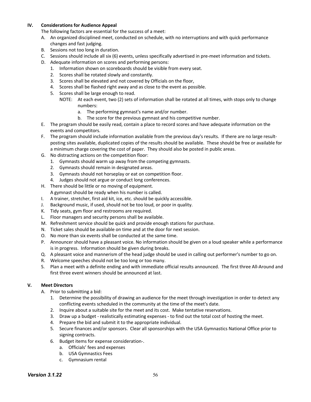# **IV. Considerations for Audience Appeal**

- The following factors are essential for the success of a meet:
- A. An organized disciplined meet, conducted on schedule, with no interruptions and with quick performance changes and fast judging.
- B. Sessions not too long in duration.
- C. Sessions should include all six (6) events, unless specifically advertised in pre-meet information and tickets.
- D. Adequate information on scores and performing persons:
	- 1. Information shown on scoreboards should be visible from every seat.
	- 2. Scores shall be rotated slowly and constantly.
	- 3. Scores shall be elevated and not covered by Officials on the floor,
	- 4. Scores shall be flashed right away and as close to the event as possible.
	- 5. Scores shall be large enough to read.
		- NOTE: At each event, two (2) sets of information shall be rotated at all times, with stops only to change numbers:
			- a. The performing gymnast's name and/or number.
			- b. The score for the previous gymnast and his competitive number.
- E. The program should be easily read, contain a place to record scores and have adequate information on the events and competitors.
- F. The program should include information available from the previous day's results. If there are no large resultposting sites available, duplicated copies of the results should be available. These should be free or available for a minimum charge covering the cost of paper. They should also be posted in public areas.
- G. No distracting actions on the competition floor:
	- 1. Gymnasts should warm up away from the competing gymnasts.
	- 2. Gymnasts should remain in designated areas.
	- 3. Gymnasts should not horseplay or eat on competition floor.
	- 4. Judges should not argue or conduct long conferences.
- H. There should be little or no moving of equipment.
	- A gymnast should be ready when his number is called.
- I. A trainer, stretcher, first aid kit, ice, etc. should be quickly accessible.
- J. Background music, if used, should not be too loud, or poor in quality.
- K. Tidy seats, gym floor and restrooms are required.
- L. Floor managers and security persons shall be available.
- M. Refreshment service should be quick and provide enough stations for purchase.
- N. Ticket sales should be available on time and at the door for next session.
- O. No more than six events shall be conducted at the same time.
- P. Announcer should have a pleasant voice. No information should be given on a loud speaker while a performance is in progress. Information should be given during breaks.
- Q. A pleasant voice and mannerism of the head judge should be used in calling out performer's number to go on.
- R. Welcome speeches should not be too long or too many.
- S. Plan a meet with a definite ending and with immediate official results announced. The first three All-Around and first three event winners should be announced at last.

# **V. Meet Directors**

- A. Prior to submitting a bid:
	- 1. Determine the possibility of drawing an audience for the meet through investigation in order to detect any conflicting events scheduled in the community at the time of the meet's date.
	- 2. Inquire about a suitable site for the meet and its cost. Make tentative reservations.
	- 3. Draw up a budget realistically estimating expenses to find out the total cost of hosting the meet.
	- 4. Prepare the bid and submit it to the appropriate individual.
	- 5. Secure finances and/or sponsors. Clear all sponsorships with the USA Gymnastics National Office prior to signing contracts.
	- 6. Budget items for expense consideration-.
		- a. Officials' fees and expenses
		- b. USA Gymnastics Fees
		- c. Gymnasium rental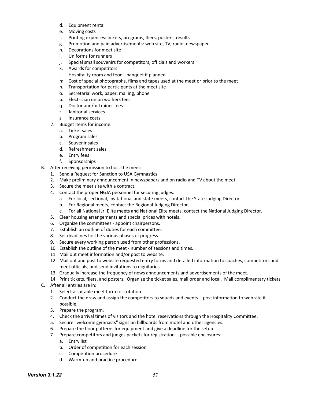- d. Equipment rental
- e. Moving costs
- f. Printing expenses: tickets, programs, fliers, posters, results
- g. Promotion and paid advertisements: web site, TV, radio, newspaper
- h. Decorations for meet site
- i. Uniforms for runners
- j. Special small souvenirs for competitors, officials and workers
- k. Awards for competitors
- l. Hospitality room and food banquet if planned
- m. Cost of special photographs, films and tapes used at the meet or prior to the meet
- n. Transportation for participants at the meet site
- o. Secretarial work, paper, mailing, phone
- p. Electrician union workers fees
- q. Doctor and/or trainer fees
- r. Janitorial services
- s. Insurance costs
- 7. Budget items for income:
	- a. Ticket sales
	- b. Program sales
	- c. Souvenir sales
	- d. Refreshment sales
	- e. Entry fees
	- f. Sponsorships
- B. After receiving permission to host the meet:
	- 1. Send a Request for Sanction to USA Gymnastics.
	- 2. Make preliminary announcement in newspapers and on radio and TV about the meet.
	- 3. Secure the meet site with a contract.
	- 4. Contact the proper NGJA personnel for securing judges.
		- a. For local, sectional, invitational and state meets, contact the State Judging Director.
		- b. For Regional meets, contact the Regional Judging Director.
		- c. For all National Jr. Elite meets and National Elite meets, contact the National Judging Director.
	- 5. Clear housing arrangements and special prices with hotels.
	- 6. Organize the committees appoint chairpersons.
	- 7. Establish an outline of duties for each committee.
	- 8. Set deadlines for the various phases of progress.
	- 9. Secure every working person used from other professions.
	- 10. Establish the outline of the meet number of sessions and times.
	- 11. Mail out meet information and/or post to website.
	- 12. Mail out and post to website requested entry forms and detailed information to coaches, competitors and meet officials; and send invitations to dignitaries.
	- 13. Gradually increase the frequency of news announcements and advertisements of the meet.
	- 14. Print tickets, fliers, and posters. Organize the ticket sales, mail order and local. Mail complimentary tickets.
- C. After all entries are in:
	- 1. Select a suitable meet form for rotation.
	- 2. Conduct the draw and assign the competitors to squads and events post information to web site if possible.
	- 3. Prepare the program.
	- 4. Check the arrival times of visitors and the hotel reservations through the Hospitality Committee.
	- 5. Secure "welcome gymnasts" signs on billboards from motel and other agencies.
	- 6. Prepare the floor patterns for equipment and give a deadline for the setup.
	- 7. Prepare competitors and judges packets for registration -- possible enclosures:
		- a. Entry list
		- b. Order of competition for each session
		- c. Competition procedure
		- d. Warm-up and practice procedure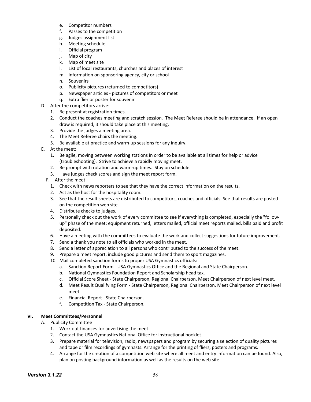- e. Competitor numbers
- f. Passes to the competition
- g. Judges assignment list
- h. Meeting schedule
- i. Official program
- j. Map of city
- k. Map of meet site
- l. List of local restaurants, churches and places of interest
- m. Information on sponsoring agency, city or school
- n. Souvenirs
- o. Publicity pictures (returned to competitors)
- p. Newspaper articles pictures of competitors or meet
- q. Extra flier or poster for souvenir
- D. After the competitors arrive:
	- 1. Be present at registration times.
	- 2. Conduct the coaches meeting and scratch session. The Meet Referee should be in attendance. If an open draw is required, it should take place at this meeting.
	- 3. Provide the judges a meeting area.
	- 4. The Meet Referee chairs the meeting.
	- 5. Be available at practice and warm-up sessions for any inquiry.
- E. At the meet:
	- 1. Be agile, moving between working stations in order to be available at all times for help or advice (troubleshooting). Strive to achieve a rapidly moving meet.
	- 2. Be prompt with rotation and warm-up times. Stay on schedule.
	- 3. Have judges check scores and sign the meet report form.
	- F. After the meet:
		- 1. Check with news reporters to see that they have the correct information on the results.
		- 2. Act as the host for the hospitality room.
		- 3. See that the result sheets are distributed to competitors, coaches and officials. See that results are posted on the competition web site.
		- 4. Distribute checks to judges.
		- 5. Personally check out the work of every committee to see if everything is completed, especially the "followup" phase of the meet; equipment returned, letters mailed, official meet reports mailed, bills paid and profit deposited.
		- 6. Have a meeting with the committees to evaluate the work and collect suggestions for future improvement.
		- 7. Send a thank you note to all officials who worked in the meet.
		- 8. Send a letter of appreciation to all persons who contributed to the success of the meet.
		- 9. Prepare a meet report, include good pictures and send them to sport magazines.
		- 10. Mail completed sanction forms to proper USA Gymnastics officials:
			- a. Sanction Report Form USA Gymnastics Office and the Regional and State Chairperson.
				- b. National Gymnastics Foundation Report and Scholarship head tax.
				- c. Official Score Sheet State Chairperson, Regional Chairperson, Meet Chairperson of next level meet.
				- d. Meet Result Qualifying Form State Chairperson, Regional Chairperson, Meet Chairperson of next level meet.
				- e. Financial Report State Chairperson.
			- f. Competition Tax State Chairperson.

# **VI. Meet Committees/Personnel**

- A. Publicity Committee
	- 1. Work out finances for advertising the meet.
	- 2. Contact the USA Gymnastics National Office for instructional booklet.
	- 3. Prepare material for television, radio, newspapers and program by securing a selection of quality pictures and tape or film recordings of gymnasts. Arrange for the printing of fliers, posters and programs.
	- 4. Arrange for the creation of a competition web site where all meet and entry information can be found. Also, plan on posting background information as well as the results on the web site.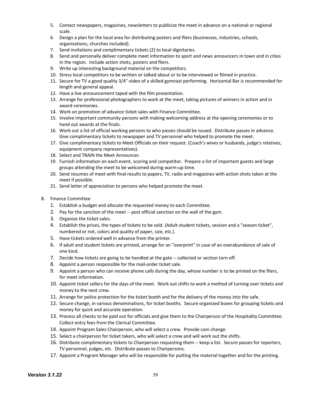- 5. Contact newspapers, magazines, newsletters to publicize the meet in advance on a national or regional scale.
- 6. Design a plan for the local area for distributing posters and fliers (businesses, industries, schools, organizations, churches included).
- 7. Send invitations and complimentary tickets (2) to local dignitaries.
- 8. Send and personally deliver complete meet information to sport and news announcers in town and in cities in the region. Include action shots, posters and fliers.
- 9. Write up interesting background material on the competitors.
- 10. Stress local competitors to be written or talked about or to be interviewed or filmed in practice.
- 11. Secure for TV a good quality 3/4" video of a skilled gymnast performing. Horizontal Bar is recommended for length and general appeal.
- 12. Have a live announcement taped with the film presentation.
- 13. Arrange for professional photographers to work at the meet, taking pictures of winners in action and in award ceremonies.
- 14. Work on promotion of advance ticket sales with Finance Committee.
- 15. Involve important community persons with making welcoming address at the opening ceremonies or to hand out awards at the finals.
- 16. Work out a list of official working persons to who passes should be issued. Distribute passes in advance. Give complimentary tickets to newspaper and TV personnel who helped to promote the meet.
- 17. Give complimentary tickets to Meet Officials on their request. (Coach's wives or husbands, judge's relatives, equipment company representatives).
- 18. Select and TRAIN the Meet Announcer.
- 19. Furnish information on each event, scoring and competitor. Prepare a list of important guests and large groups attending the meet to be welcomed during warm-up time.
- 20. Send resumes of meet with final results to papers, TV, radio and magazines with action shots taken at the meet if possible.
- 21. Send letter of appreciation to persons who helped promote the meet.
- B. Finance Committee
	- 1. Establish a budget and allocate the requested money to each Committee.
	- 2. Pay for the sanction of the meet -- post official sanction on the wall of the gym.
	- 3. Organize the ticket sales.
	- 4. Establish the prices, the types of tickets to be sold. (Adult-student tickets, session and a "season ticket", numbered or not, colors and quality of paper, size, etc.).
	- 5. Have tickets ordered well in advance from the printer.
	- 6. If adult and student tickets are printed, arrange for an "overprint" in case of an overabundance of sale of one kind.
	- 7. Decide how tickets are going to be handled at the gate -- collected or section torn off.
	- 8. Appoint a person responsible for the mail-order ticket sale.
	- 9. Appoint a person who can receive phone calls during the day, whose number is to be printed on the fliers, for meet information.
	- 10. Appoint ticket sellers for the days of the meet. Work out shifts to work a method of turning over tickets and money to the next crew.
	- 11. Arrange for police protection for the ticket booth and for the delivery of the money into the safe.
	- 12. Secure change, in various denominations, for ticket booths. Secure organized boxes for grouping tickets and money for quick and accurate operation.
	- 13. Process all checks to be paid out for officials and give them to the Chairperson of the Hospitality Committee. Collect entry fees from the Clerical Committee.
	- 14. Appoint Program Sales Chairperson, who will select a crew. Provide coin change.
	- 15. Select a chairperson for ticket takers, who will select a crew and will work out the shifts.
	- 16. Distribute complimentary tickets to Chairperson requesting them -- keep a list. Secure passes for reporters, TV personnel, judges, etc. Distribute passes to Chairpersons.
	- 17. Appoint a Program Manager who will be responsible for putting the material together and for the printing.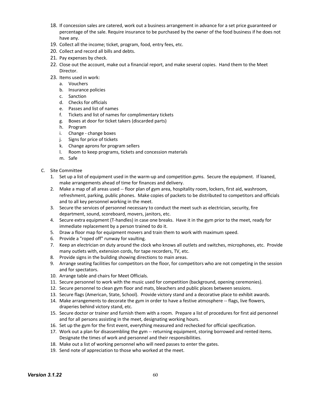- 18. If concession sales are catered, work out a business arrangement in advance for a set price guaranteed or percentage of the sale. Require insurance to be purchased by the owner of the food business if he does not have any.
- 19. Collect all the income; ticket, program, food, entry fees, etc.
- 20. Collect and record all bills and debts.
- 21. Pay expenses by check.
- 22. Close out the account, make out a financial report, and make several copies. Hand them to the Meet Director.
- 23. Items used in work:
	- a. Vouchers
	- b. Insurance policies
	- c. Sanction
	- d. Checks for officials
	- e. Passes and list of names
	- f. Tickets and list of names for complimentary tickets
	- g. Boxes at door for ticket takers (discarded parts)
	- h. Program
	- i. Change change boxes
	- j. Signs for price of tickets
	- k. Change aprons for program sellers
	- l. Room to keep programs, tickets and concession materials
	- m. Safe
- C. Site Committee
	- 1. Set up a list of equipment used in the warm-up and competition gyms. Secure the equipment. If loaned, make arrangements ahead of time for finances and delivery.
	- 2. Make a map of all areas used -- floor plan of gym area, hospitality room, lockers, first aid, washroom, refreshment, parking, public phones. Make copies of packets to be distributed to competitors and officials and to all key personnel working in the meet.
	- 3. Secure the services of personnel necessary to conduct the meet such as electrician, security, fire department, sound, scoreboard, movers, janitors, etc.
	- 4. Secure extra equipment (T-handles) in case one breaks. Have it in the gym prior to the meet, ready for immediate replacement by a person trained to do it.
	- 5. Draw a floor map for equipment movers and train them to work with maximum speed.
	- 6. Provide a "roped off" runway for vaulting.
	- 7. Keep an electrician on duty around the clock who knows all outlets and switches, microphones, etc. Provide many outlets with, extension cords, for tape recorders, TV, etc.
	- 8. Provide signs in the building showing directions to main areas.
	- 9. Arrange seating facilities for competitors on the floor, for competitors who are not competing in the session and for spectators.
	- 10. Arrange table and chairs for Meet Officials.
	- 11. Secure personnel to work with the music used for competition (background, opening ceremonies).
	- 12. Secure personnel to clean gym floor and mats, bleachers and public places between sessions.
	- 13. Secure flags (American, State, School). Provide victory stand and a decorative place to exhibit awards.
	- 14. Make arrangements to decorate the gym in order to have a festive atmosphere -- flags, live flowers, draperies behind victory stand, etc.
	- 15. Secure doctor or trainer and furnish them with a room. Prepare a list of procedures for first aid personnel and for all persons assisting in the meet, designating working hours.
	- 16. Set up the gym for the first event, everything measured and rechecked for official specification.
	- 17. Work out a plan for disassembling the gym -- returning equipment, storing borrowed and rented items. Designate the times of work and personnel and their responsibilities.
	- 18. Make out a list of working personnel who will need passes to enter the gates.
	- 19. Send note of appreciation to those who worked at the meet.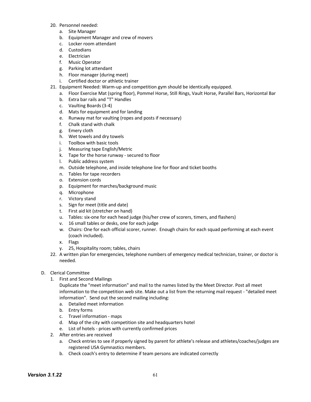- 20. Personnel needed:
	- a. Site Manager
	- b. Equipment Manager and crew of movers
	- c. Locker room attendant
	- d. Custodians
	- e. Electrician
	- f. Music Operator
	- g. Parking lot attendant
	- h. Floor manager (during meet)
	- i. Certified doctor or athletic trainer
- 21. Equipment Needed: Warm-up and competition gym should be identically equipped.
	- a. Floor Exercise Mat (spring floor), Pommel Horse, Still Rings, Vault Horse, Parallel Bars, Horizontal Bar
	- b. Extra bar rails and "T" Handles
	- c. Vaulting Boards (3-4)
	- d. Mats for equipment and for landing
	- e. Runway mat for vaulting (ropes and posts if necessary)
	- f. Chalk stand with chalk
	- g. Emery cloth
	- h. Wet towels and dry towels
	- i. Toolbox with basic tools
	- j. Measuring tape English/Metric
	- k. Tape for the horse runway secured to floor
	- l. Public address system
	- m. Outside telephone, and inside telephone line for floor and ticket booths
	- n. Tables for tape recorders
	- o. Extension cords
	- p. Equipment for marches/background music
	- q. Microphone
	- r. Victory stand
	- s. Sign for meet (title and date)
	- t. First aid kit (stretcher on hand)
	- u. Tables: six-one for each head judge (his/her crew of scorers, timers, and flashers)
	- v. 16 small tables or desks, one for each judge
	- w. Chairs: One for each official scorer, runner. Enough chairs for each squad performing at each event (coach included).
	- x. Flags
	- y. 25, Hospitality room; tables, chairs
- 22. A written plan for emergencies, telephone numbers of emergency medical technician, trainer, or doctor is needed.
- D. Clerical Committee
	- 1. First and Second Mailings

Duplicate the "meet information" and mail to the names listed by the Meet Director. Post all meet information to the competition web site. Make out a list from the returning mail request - "detailed meet information". Send out the second mailing including:

- a. Detailed meet information
- b. Entry forms
- c. Travel information maps
- d. Map of the city with competition site and headquarters hotel
- e. List of hotels prices with currently confirmed prices
- 2. After entries are received
	- a. Check entries to see if properly signed by parent for athlete's release and athletes/coaches/judges are registered USA Gymnastics members.
	- b. Check coach's entry to determine if team persons are indicated correctly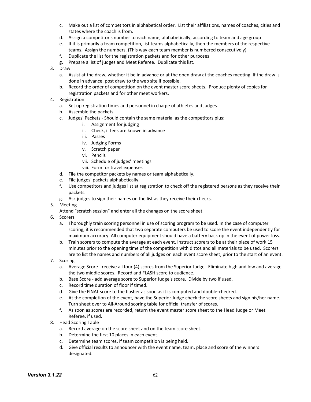- c. Make out a list of competitors in alphabetical order. List their affiliations, names of coaches, cities and states where the coach is from.
- d. Assign a competitor's number to each name, alphabetically, according to team and age group
- e. If it is primarily a team competition, list teams alphabetically, then the members of the respective teams. Assign the numbers. (This way each team member is numbered consecutively)
- f. Duplicate the list for the registration packets and for other purposes
- g. Prepare a list of judges and Meet Referee. Duplicate this list.
- 3. Draw
	- a. Assist at the draw, whether it be in advance or at the open draw at the coaches meeting. If the draw is done in advance, post draw to the web site if possible.
	- b. Record the order of competition on the event master score sheets. Produce plenty of copies for registration packets and for other meet workers.
- 4. Registration
	- a. Set up registration times and personnel in charge of athletes and judges.
	- b. Assemble the packets.
	- c. Judges' Packets Should contain the same material as the competitors plus:
		- i. Assignment for judging
		- ii. Check, if fees are known in advance
		- iii. Passes
		- iv. Judging Forms
		- v. Scratch paper
		- vi. Pencils
		- vii. Schedule of judges' meetings
		- viii. Form for travel expenses
	- d. File the competitor packets by names or team alphabetically.
	- e. File judges' packets alphabetically.
	- f. Use competitors and judges list at registration to check off the registered persons as they receive their packets.
	- g. Ask judges to sign their names on the list as they receive their checks.
- 5. Meeting
	- Attend "scratch session" and enter all the changes on the score sheet.
- 6. Scorers
	- a. Thoroughly train scoring personnel in use of scoring program to be used. In the case of computer scoring, it is recommended that two separate computers be used to score the event independently for maximum accuracy. All computer equipment should have a battery back up in the event of power loss.
	- b. Train scorers to compute the average at each event. Instruct scorers to be at their place of work 15 minutes prior to the opening time of the competition with dittos and all materials to be used. Scorers are to list the names and numbers of all judges on each event score sheet, prior to the start of an event.
- 7. Scoring
	- a. Average Score receive all four (4) scores from the Superior Judge. Eliminate high and low and average the two middle scores. Record and FLASH score to audience.
	- b. Base Score add average score to Superior Judge's score. Divide by two if used.
	- c. Record time duration of floor if timed.
	- d. Give the FINAL score to the flasher as soon as it is computed and double-checked.
	- e. At the completion of the event, have the Superior Judge check the score sheets and sign his/her name. Turn sheet over to All-Around scoring table for official transfer of scores.
	- f. As soon as scores are recorded, return the event master score sheet to the Head Judge or Meet Referee, if used.
- 8. Head Scoring Table
	- a. Record average on the score sheet and on the team score sheet.
	- b. Determine the first 10 places in each event.
	- c. Determine team scores, if team competition is being held.
	- d. Give official results to announcer with the event name, team, place and score of the winners designated.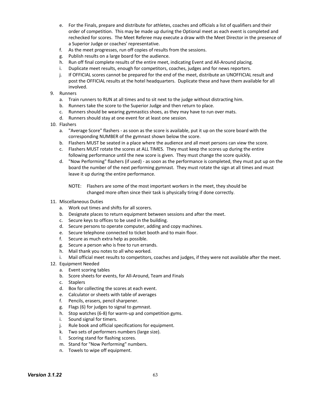- e. For the Finals, prepare and distribute for athletes, coaches and officials a list of qualifiers and their order of competition. This may be made up during the Optional meet as each event is completed and rechecked for scores. The Meet Referee may execute a draw with the Meet Director in the presence of a Superior Judge or coaches' representative.
- f. As the meet progresses, run off copies of results from the sessions.
- g. Publish results on a large board for the audience.
- h. Run off final complete results of the entire meet, indicating Event and All-Around placing.
- i. Duplicate meet results, enough for competitors, coaches, judges and for news reporters.
- j. If OFFICIAL scores cannot be prepared for the end of the meet, distribute an UNOFFICIAL result and post the OFFICIAL results at the hotel headquarters. Duplicate these and have them available for all involved.
- 9. Runners
	- a. Train runners to RUN at all times and to sit next to the judge without distracting him.
	- b. Runners take the score to the Superior Judge and then return to place.
	- c. Runners should be wearing gymnastics shoes, as they may have to run over mats.
	- d. Runners should stay at one event for at least one session.
- 10. Flashers
	- a. "Average Score" flashers as soon as the score is available, put it up on the score board with the corresponding NUMBER of the gymnast shown below the score.
	- b. Flashers MUST be seated in a place where the audience and all meet persons can view the score.
	- c. Flashers MUST rotate the scores at ALL TIMES. They must keep the scores up during the entire following performance until the new score is given. They must change the score quickly.
	- d. "Now Performing" flashers (if used) as soon as the performance is completed, they must put up on the board the number of the next performing gymnast. They must rotate the sign at all times and must leave it up during the entire performance.
		- NOTE: Flashers are some of the most important workers in the meet, they should be changed more often since their task is physically tiring if done correctly.
- 11. Miscellaneous Duties
	- a. Work out times and shifts for all scorers.
	- b. Designate places to return equipment between sessions and after the meet.
	- c. Secure keys to offices to be used in the building.
	- d. Secure persons to operate computer, adding and copy machines.
	- e. Secure telephone connected to ticket booth and to main floor.
	- f. Secure as much extra help as possible.
	- g. Secure a person who is free to run errands.
	- h. Mail thank you notes to all who worked.
	- i. Mail official meet results to competitors, coaches and judges, if they were not available after the meet.
- 12. Equipment Needed
	- a. Event scoring tables
	- b. Score sheets for events, for All-Around, Team and Finals
	- c. Staplers
	- d. Box for collecting the scores at each event.
	- e. Calculator or sheets with table of averages
	- f. Pencils, erasers, pencil sharpener.
	- g. Flags (6) for judges to signal to gymnast.
	- h. Stop watches (6-8) for warm-up and competition gyms.
	- i. Sound signal for timers.
	- j. Rule book and official specifications for equipment.
	- k. Two sets of performers numbers (large size).
	- l. Scoring stand for flashing scores.
	- m. Stand for "Now Performing" numbers.
	- n. Towels to wipe off equipment.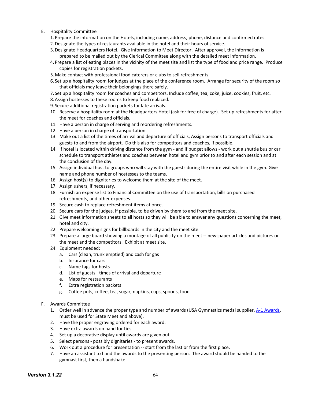- E. Hospitality Committee
	- 1. Prepare the information on the Hotels, including name, address, phone, distance and confirmed rates.
	- 2.Designate the types of restaurants available in the hotel and their hours of service.
	- 3.Designate Headquarters Hotel. Give information to Meet Director. After approval, the information is prepared to be mailed out by the Clerical Committee along with the detailed meet information.
	- 4. Prepare a list of eating places in the vicinity of the meet site and list the type of food and price range. Produce copies for registration packets.
	- 5.Make contact with professional food caterers or clubs to sell refreshments.
	- 6. Set up a hospitality room for judges at the place of the conference room. Arrange for security of the room so that officials may leave their belongings there safely.
	- 7. Set up a hospitality room for coaches and competitors. Include coffee, tea, coke, juice, cookies, fruit, etc.
	- 8.Assign hostesses to these rooms to keep food replaced.
	- 9. Secure additional registration packets for late arrivals.
	- 10. Reserve a hospitality room at the Headquarters Hotel (ask for free of charge). Set up refreshments for after the meet for coaches and officials.
	- 11. Have a person in charge of serving and reordering refreshments.
	- 12. Have a person in charge of transportation.
	- 13. Make out a list of the times of arrival and departure of officials, Assign persons to transport officials and guests to and from the airport. Do this also for competitors and coaches, if possible.
	- 14. If hotel is located within driving distance from the gym and if budget allows work out a shuttle bus or car schedule to transport athletes and coaches between hotel and gym prior to and after each session and at the conclusion of the day.
	- 15. Assign individual host to groups who will stay with the guests during the entire visit while in the gym. Give name and phone number of hostesses to the teams.
	- 16. Assign host(s) to dignitaries to welcome them at the site of the meet.
	- 17. Assign ushers, if necessary.
	- 18. Furnish an expense list to Financial Committee on the use of transportation, bills on purchased refreshments, and other expenses.
	- 19. Secure cash to replace refreshment items at once.
	- 20. Secure cars for the judges, if possible, to be driven by them to and from the meet site.
	- 21. Give meet information sheets to all hosts so they will be able to answer any questions concerning the meet, hotel and city.
	- 22. Prepare welcoming signs for billboards in the city and the meet site.
	- 23. Prepare a large board showing a montage of all publicity on the meet -- newspaper articles and pictures on the meet and the competitors. Exhibit at meet site.
	- 24. Equipment needed:
		- a. Cars (clean, trunk emptied) and cash for gas
		- b. Insurance for cars
		- c. Name tags for hosts
		- d. List of guests times of arrival and departure
		- e. Maps for restaurants
		- f. Extra registration packets
		- g. Coffee pots, coffee, tea, sugar, napkins, cups, spoons, food
- F. Awards Committee
	- 1. Order well in advance the proper type and number of awards (USA Gymnastics medal supplier, A-1 Awards, must be used for State Meet and above).
	- 2. Have the proper engraving ordered for each award.
	- 3. Have extra awards on hand for ties.
	- 4. Set up a decorative display until awards are given out.
	- 5. Select persons possibly dignitaries to present awards.
	- 6. Work out a procedure for presentation -- start from the last or from the first place.
	- 7. Have an assistant to hand the awards to the presenting person. The award should be handed to the gymnast first, then a handshake.